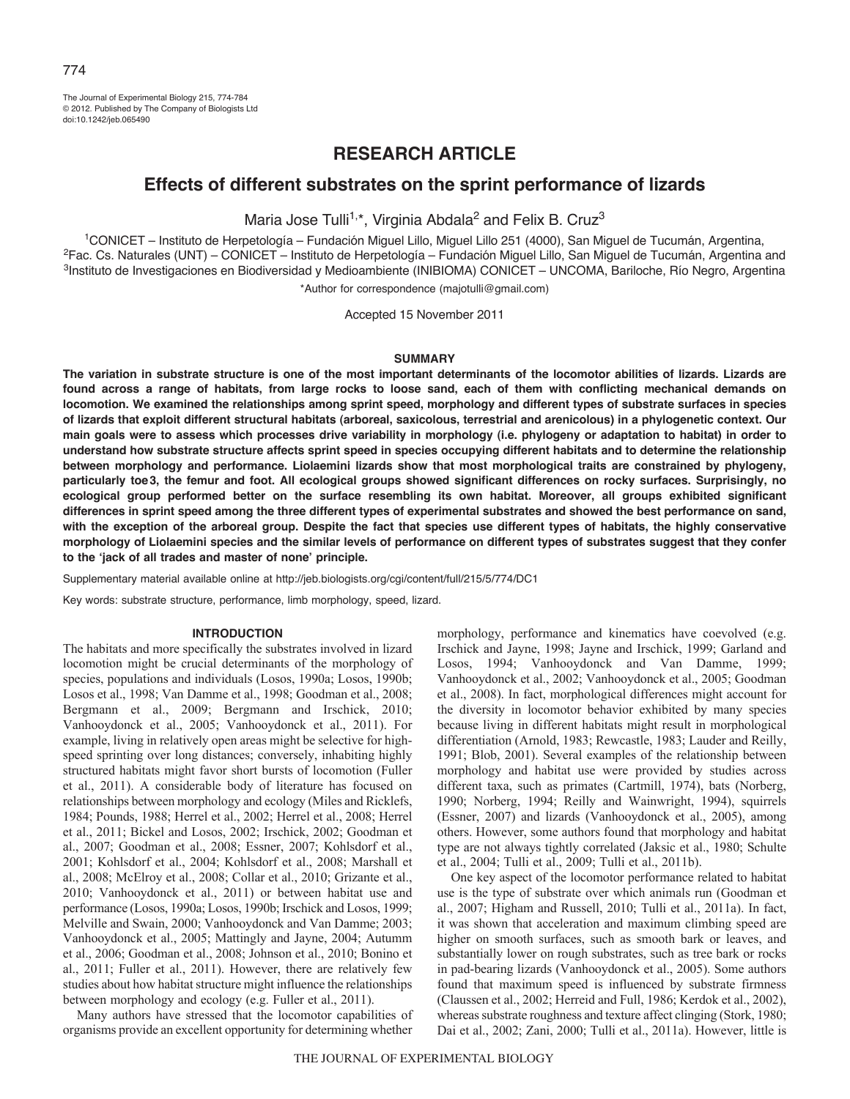The Journal of Experimental Biology 215, 774-784 © 2012. Published by The Company of Biologists Ltd doi:10.1242/jeb.065490

# **RESEARCH ARTICLE**

# **Effects of different substrates on the sprint performance of lizards**

Maria Jose Tulli<sup>1,\*</sup>, Virginia Abdala<sup>2</sup> and Felix B. Cruz<sup>3</sup>

<sup>1</sup>CONICET – Instituto de Herpetología – Fundación Miguel Lillo, Miguel Lillo 251 (4000), San Miguel de Tucumán, Argentina,<br><sup>2</sup>Fac. Cs. Naturales (UNT) – CONICET – Instituto de Herpetología – Fundación Miguel Lillo, San Mi 3Instituto de Investigaciones en Biodiversidad y Medioambiente (INIBIOMA) CONICET – UNCOMA, Bariloche, Río Negro, Argentina \*Author for correspondence (majotulli@gmail.com)

Accepted 15 November 2011

### **SUMMARY**

**The variation in substrate structure is one of the most important determinants of the locomotor abilities of lizards. Lizards are found across a range of habitats, from large rocks to loose sand, each of them with conflicting mechanical demands on locomotion. We examined the relationships among sprint speed, morphology and different types of substrate surfaces in species of lizards that exploit different structural habitats (arboreal, saxicolous, terrestrial and arenicolous) in a phylogenetic context. Our main goals were to assess which processes drive variability in morphology (i.e. phylogeny or adaptation to habitat) in order to understand how substrate structure affects sprint speed in species occupying different habitats and to determine the relationship between morphology and performance. Liolaemini lizards show that most morphological traits are constrained by phylogeny, particularly toe3, the femur and foot. All ecological groups showed significant differences on rocky surfaces. Surprisingly, no ecological group performed better on the surface resembling its own habitat. Moreover, all groups exhibited significant differences in sprint speed among the three different types of experimental substrates and showed the best performance on sand, with the exception of the arboreal group. Despite the fact that species use different types of habitats, the highly conservative morphology of Liolaemini species and the similar levels of performance on different types of substrates suggest that they confer to the ʻjack of all trades and master of none' principle.**

Supplementary material available online at http://jeb.biologists.org/cgi/content/full/215/5/774/DC1

Key words: substrate structure, performance, limb morphology, speed, lizard.

### **INTRODUCTION**

The habitats and more specifically the substrates involved in lizard locomotion might be crucial determinants of the morphology of species, populations and individuals (Losos, 1990a; Losos, 1990b; Losos et al., 1998; Van Damme et al., 1998; Goodman et al., 2008; Bergmann et al., 2009; Bergmann and Irschick, 2010; Vanhooydonck et al., 2005; Vanhooydonck et al., 2011). For example, living in relatively open areas might be selective for highspeed sprinting over long distances; conversely, inhabiting highly structured habitats might favor short bursts of locomotion (Fuller et al., 2011). A considerable body of literature has focused on relationships between morphology and ecology (Miles and Ricklefs, 1984; Pounds, 1988; Herrel et al., 2002; Herrel et al., 2008; Herrel et al., 2011; Bickel and Losos, 2002; Irschick, 2002; Goodman et al., 2007; Goodman et al., 2008; Essner, 2007; Kohlsdorf et al., 2001; Kohlsdorf et al., 2004; Kohlsdorf et al., 2008; Marshall et al., 2008; McElroy et al., 2008; Collar et al., 2010; Grizante et al., 2010; Vanhooydonck et al., 2011) or between habitat use and performance (Losos, 1990a; Losos, 1990b; Irschick and Losos, 1999; Melville and Swain, 2000; Vanhooydonck and Van Damme; 2003; Vanhooydonck et al., 2005; Mattingly and Jayne, 2004; Autumm et al., 2006; Goodman et al., 2008; Johnson et al., 2010; Bonino et al., 2011; Fuller et al., 2011). However, there are relatively few studies about how habitat structure might influence the relationships between morphology and ecology (e.g. Fuller et al., 2011).

Many authors have stressed that the locomotor capabilities of organisms provide an excellent opportunity for determining whether

morphology, performance and kinematics have coevolved (e.g. Irschick and Jayne, 1998; Jayne and Irschick, 1999; Garland and Losos, 1994; Vanhooydonck and Van Damme, 1999; Vanhooydonck et al., 2002; Vanhooydonck et al., 2005; Goodman et al., 2008). In fact, morphological differences might account for the diversity in locomotor behavior exhibited by many species because living in different habitats might result in morphological differentiation (Arnold, 1983; Rewcastle, 1983; Lauder and Reilly, 1991; Blob, 2001). Several examples of the relationship between morphology and habitat use were provided by studies across different taxa, such as primates (Cartmill, 1974), bats (Norberg, 1990; Norberg, 1994; Reilly and Wainwright, 1994), squirrels (Essner, 2007) and lizards (Vanhooydonck et al., 2005), among others. However, some authors found that morphology and habitat type are not always tightly correlated (Jaksic et al., 1980; Schulte et al., 2004; Tulli et al., 2009; Tulli et al., 2011b).

One key aspect of the locomotor performance related to habitat use is the type of substrate over which animals run (Goodman et al., 2007; Higham and Russell, 2010; Tulli et al., 2011a). In fact, it was shown that acceleration and maximum climbing speed are higher on smooth surfaces, such as smooth bark or leaves, and substantially lower on rough substrates, such as tree bark or rocks in pad-bearing lizards (Vanhooydonck et al., 2005). Some authors found that maximum speed is influenced by substrate firmness (Claussen et al., 2002; Herreid and Full, 1986; Kerdok et al., 2002), whereas substrate roughness and texture affect clinging (Stork, 1980; Dai et al., 2002; Zani, 2000; Tulli et al., 2011a). However, little is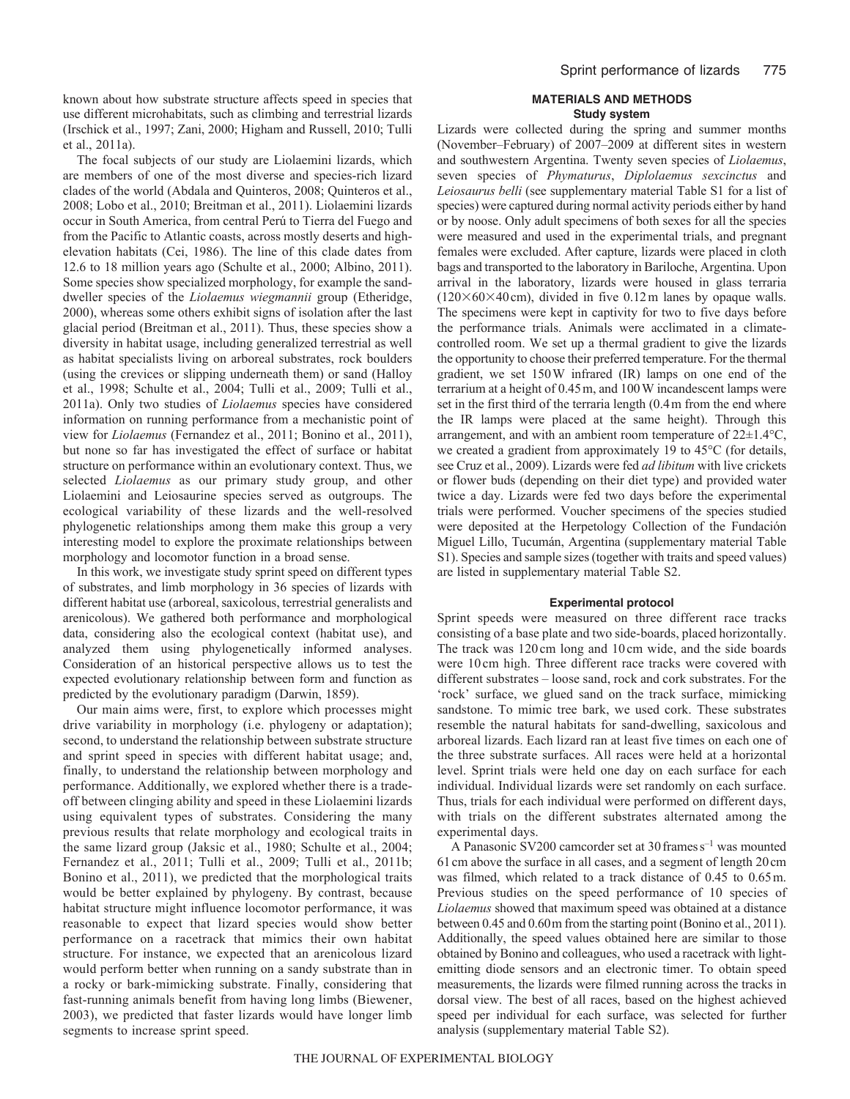known about how substrate structure affects speed in species that use different microhabitats, such as climbing and terrestrial lizards (Irschick et al., 1997; Zani, 2000; Higham and Russell, 2010; Tulli et al., 2011a).

The focal subjects of our study are Liolaemini lizards, which are members of one of the most diverse and species-rich lizard clades of the world (Abdala and Quinteros, 2008; Quinteros et al., 2008; Lobo et al., 2010; Breitman et al., 2011). Liolaemini lizards occur in South America, from central Perú to Tierra del Fuego and from the Pacific to Atlantic coasts, across mostly deserts and highelevation habitats (Cei, 1986). The line of this clade dates from 12.6 to 18 million years ago (Schulte et al., 2000; Albino, 2011). Some species show specialized morphology, for example the sanddweller species of the *Liolaemus wiegmannii* group (Etheridge, 2000), whereas some others exhibit signs of isolation after the last glacial period (Breitman et al., 2011). Thus, these species show a diversity in habitat usage, including generalized terrestrial as well as habitat specialists living on arboreal substrates, rock boulders (using the crevices or slipping underneath them) or sand (Halloy et al., 1998; Schulte et al., 2004; Tulli et al., 2009; Tulli et al., 2011a). Only two studies of *Liolaemus* species have considered information on running performance from a mechanistic point of view for *Liolaemus* (Fernandez et al., 2011; Bonino et al., 2011), but none so far has investigated the effect of surface or habitat structure on performance within an evolutionary context. Thus, we selected *Liolaemus* as our primary study group, and other Liolaemini and Leiosaurine species served as outgroups. The ecological variability of these lizards and the well-resolved phylogenetic relationships among them make this group a very interesting model to explore the proximate relationships between morphology and locomotor function in a broad sense.

In this work, we investigate study sprint speed on different types of substrates, and limb morphology in 36 species of lizards with different habitat use (arboreal, saxicolous, terrestrial generalists and arenicolous). We gathered both performance and morphological data, considering also the ecological context (habitat use), and analyzed them using phylogenetically informed analyses. Consideration of an historical perspective allows us to test the expected evolutionary relationship between form and function as predicted by the evolutionary paradigm (Darwin, 1859).

Our main aims were, first, to explore which processes might drive variability in morphology (i.e. phylogeny or adaptation); second, to understand the relationship between substrate structure and sprint speed in species with different habitat usage; and, finally, to understand the relationship between morphology and performance. Additionally, we explored whether there is a tradeoff between clinging ability and speed in these Liolaemini lizards using equivalent types of substrates. Considering the many previous results that relate morphology and ecological traits in the same lizard group (Jaksic et al., 1980; Schulte et al., 2004; Fernandez et al., 2011; Tulli et al., 2009; Tulli et al., 2011b; Bonino et al., 2011), we predicted that the morphological traits would be better explained by phylogeny. By contrast, because habitat structure might influence locomotor performance, it was reasonable to expect that lizard species would show better performance on a racetrack that mimics their own habitat structure. For instance, we expected that an arenicolous lizard would perform better when running on a sandy substrate than in a rocky or bark-mimicking substrate. Finally, considering that fast-running animals benefit from having long limbs (Biewener, 2003), we predicted that faster lizards would have longer limb segments to increase sprint speed.

### **MATERIALS AND METHODS Study system**

Lizards were collected during the spring and summer months (November–February) of 2007–2009 at different sites in western and southwestern Argentina. Twenty seven species of *Liolaemus*, seven species of *Phymaturus*, *Diplolaemus sexcinctus* and *Leiosaurus belli* (see supplementary material Table S1 for a list of species) were captured during normal activity periods either by hand or by noose. Only adult specimens of both sexes for all the species were measured and used in the experimental trials, and pregnant females were excluded. After capture, lizards were placed in cloth bags and transported to the laboratory in Bariloche, Argentina. Upon arrival in the laboratory, lizards were housed in glass terraria  $(120\times60\times40\,\text{cm})$ , divided in five 0.12 m lanes by opaque walls. The specimens were kept in captivity for two to five days before the performance trials. Animals were acclimated in a climatecontrolled room. We set up a thermal gradient to give the lizards the opportunity to choose their preferred temperature. For the thermal gradient, we set 150W infrared (IR) lamps on one end of the terrarium at a height of 0.45m, and 100W incandescent lamps were set in the first third of the terraria length (0.4m from the end where the IR lamps were placed at the same height). Through this arrangement, and with an ambient room temperature of 22±1.4°C, we created a gradient from approximately 19 to 45°C (for details, see Cruz et al., 2009). Lizards were fed *ad libitum* with live crickets or flower buds (depending on their diet type) and provided water twice a day. Lizards were fed two days before the experimental trials were performed. Voucher specimens of the species studied were deposited at the Herpetology Collection of the Fundación Miguel Lillo, Tucumán, Argentina (supplementary material Table S1). Species and sample sizes (together with traits and speed values) are listed in supplementary material Table S2.

### **Experimental protocol**

Sprint speeds were measured on three different race tracks consisting of a base plate and two side-boards, placed horizontally. The track was 120 cm long and 10 cm wide, and the side boards were 10 cm high. Three different race tracks were covered with different substrates – loose sand, rock and cork substrates. For the 'rock' surface, we glued sand on the track surface, mimicking sandstone. To mimic tree bark, we used cork. These substrates resemble the natural habitats for sand-dwelling, saxicolous and arboreal lizards. Each lizard ran at least five times on each one of the three substrate surfaces. All races were held at a horizontal level. Sprint trials were held one day on each surface for each individual. Individual lizards were set randomly on each surface. Thus, trials for each individual were performed on different days, with trials on the different substrates alternated among the experimental days.

A Panasonic SV200 camcorder set at  $30$  frames  $s^{-1}$  was mounted 61cm above the surface in all cases, and a segment of length 20cm was filmed, which related to a track distance of 0.45 to 0.65m. Previous studies on the speed performance of 10 species of *Liolaemus* showed that maximum speed was obtained at a distance between 0.45 and 0.60m from the starting point (Bonino et al., 2011). Additionally, the speed values obtained here are similar to those obtained by Bonino and colleagues, who used a racetrack with lightemitting diode sensors and an electronic timer. To obtain speed measurements, the lizards were filmed running across the tracks in dorsal view. The best of all races, based on the highest achieved speed per individual for each surface, was selected for further analysis (supplementary material Table S2).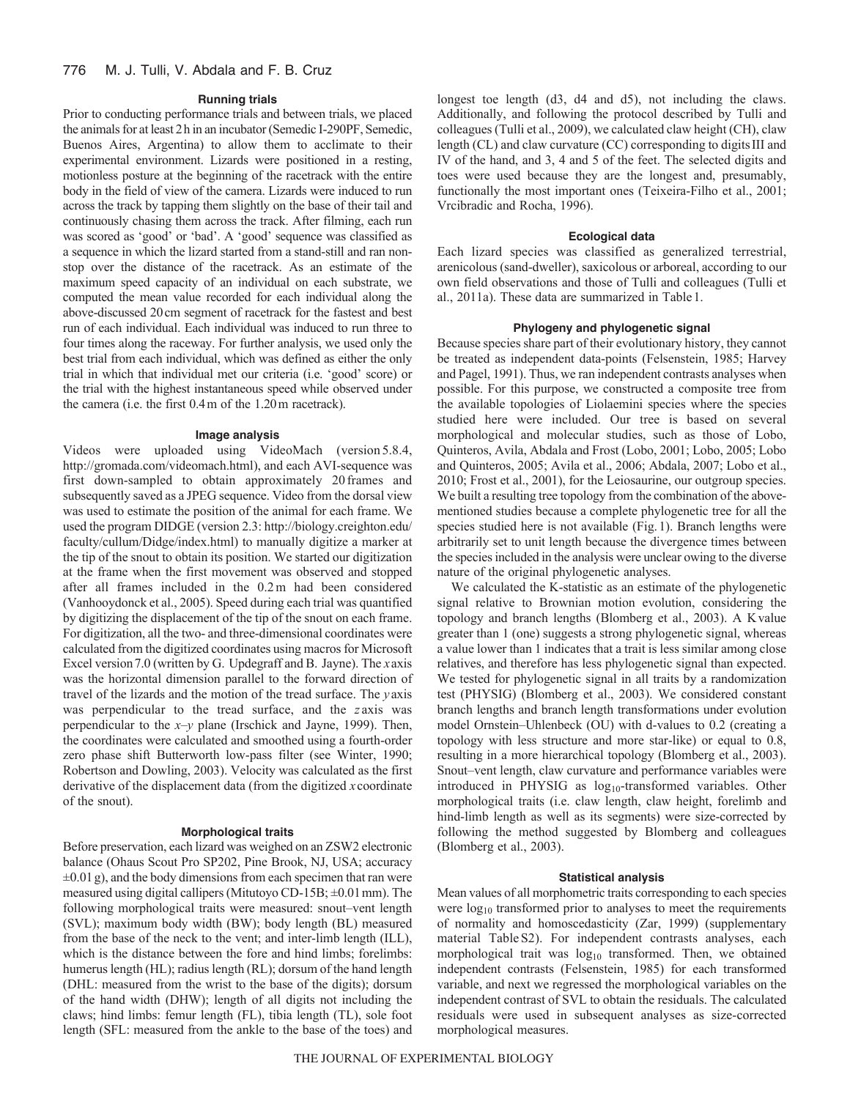### **Running trials**

Prior to conducting performance trials and between trials, we placed the animals for at least 2h in an incubator (Semedic I-290PF, Semedic, Buenos Aires, Argentina) to allow them to acclimate to their experimental environment. Lizards were positioned in a resting, motionless posture at the beginning of the racetrack with the entire body in the field of view of the camera. Lizards were induced to run across the track by tapping them slightly on the base of their tail and continuously chasing them across the track. After filming, each run was scored as 'good' or 'bad'. A 'good' sequence was classified as a sequence in which the lizard started from a stand-still and ran nonstop over the distance of the racetrack. As an estimate of the maximum speed capacity of an individual on each substrate, we computed the mean value recorded for each individual along the above-discussed 20cm segment of racetrack for the fastest and best run of each individual. Each individual was induced to run three to four times along the raceway. For further analysis, we used only the best trial from each individual, which was defined as either the only trial in which that individual met our criteria (i.e. 'good' score) or the trial with the highest instantaneous speed while observed under the camera (i.e. the first 0.4m of the 1.20m racetrack).

### **Image analysis**

Videos were uploaded using VideoMach (version 5.8.4, http://gromada.com/videomach.html), and each AVI-sequence was first down-sampled to obtain approximately 20 frames and subsequently saved as a JPEG sequence. Video from the dorsal view was used to estimate the position of the animal for each frame. We used the program DIDGE (version 2.3: http://biology.creighton.edu/ faculty/cullum/Didge/index.html) to manually digitize a marker at the tip of the snout to obtain its position. We started our digitization at the frame when the first movement was observed and stopped after all frames included in the 0.2m had been considered (Vanhooydonck et al., 2005). Speed during each trial was quantified by digitizing the displacement of the tip of the snout on each frame. For digitization, all the two- and three-dimensional coordinates were calculated from the digitized coordinates using macros for Microsoft Excel version7.0 (written by G. Updegraff and B. Jayne). The *x*axis was the horizontal dimension parallel to the forward direction of travel of the lizards and the motion of the tread surface. The *y* axis was perpendicular to the tread surface, and the *z* axis was perpendicular to the *x*–*y* plane (Irschick and Jayne, 1999). Then, the coordinates were calculated and smoothed using a fourth-order zero phase shift Butterworth low-pass filter (see Winter, 1990; Robertson and Dowling, 2003). Velocity was calculated as the first derivative of the displacement data (from the digitized *x* coordinate of the snout).

### **Morphological traits**

Before preservation, each lizard was weighed on an ZSW2 electronic balance (Ohaus Scout Pro SP202, Pine Brook, NJ, USA; accuracy  $\pm 0.01$  g), and the body dimensions from each specimen that ran were measured using digital callipers (Mitutoyo CD-15B; ±0.01mm). The following morphological traits were measured: snout–vent length (SVL); maximum body width (BW); body length (BL) measured from the base of the neck to the vent; and inter-limb length (ILL), which is the distance between the fore and hind limbs; forelimbs: humerus length (HL); radius length (RL); dorsum of the hand length (DHL: measured from the wrist to the base of the digits); dorsum of the hand width (DHW); length of all digits not including the claws; hind limbs: femur length (FL), tibia length (TL), sole foot length (SFL: measured from the ankle to the base of the toes) and

longest toe length (d3, d4 and d5), not including the claws. Additionally, and following the protocol described by Tulli and colleagues (Tulli et al., 2009), we calculated claw height (CH), claw length (CL) and claw curvature (CC) corresponding to digitsIII and IV of the hand, and 3, 4 and 5 of the feet. The selected digits and toes were used because they are the longest and, presumably, functionally the most important ones (Teixeira-Filho et al., 2001; Vrcibradic and Rocha, 1996).

### **Ecological data**

Each lizard species was classified as generalized terrestrial, arenicolous (sand-dweller), saxicolous or arboreal, according to our own field observations and those of Tulli and colleagues (Tulli et al., 2011a). These data are summarized in Table1.

### **Phylogeny and phylogenetic signal**

Because species share part of their evolutionary history, they cannot be treated as independent data-points (Felsenstein, 1985; Harvey and Pagel, 1991). Thus, we ran independent contrasts analyses when possible. For this purpose, we constructed a composite tree from the available topologies of Liolaemini species where the species studied here were included. Our tree is based on several morphological and molecular studies, such as those of Lobo, Quinteros, Avila, Abdala and Frost (Lobo, 2001; Lobo, 2005; Lobo and Quinteros, 2005; Avila et al., 2006; Abdala, 2007; Lobo et al., 2010; Frost et al., 2001), for the Leiosaurine, our outgroup species. We built a resulting tree topology from the combination of the abovementioned studies because a complete phylogenetic tree for all the species studied here is not available (Fig.1). Branch lengths were arbitrarily set to unit length because the divergence times between the species included in the analysis were unclear owing to the diverse nature of the original phylogenetic analyses.

We calculated the K-statistic as an estimate of the phylogenetic signal relative to Brownian motion evolution, considering the topology and branch lengths (Blomberg et al., 2003). A Kvalue greater than 1 (one) suggests a strong phylogenetic signal, whereas a value lower than 1 indicates that a trait is less similar among close relatives, and therefore has less phylogenetic signal than expected. We tested for phylogenetic signal in all traits by a randomization test (PHYSIG) (Blomberg et al., 2003). We considered constant branch lengths and branch length transformations under evolution model Ornstein–Uhlenbeck (OU) with d-values to 0.2 (creating a topology with less structure and more star-like) or equal to 0.8, resulting in a more hierarchical topology (Blomberg et al., 2003). Snout–vent length, claw curvature and performance variables were introduced in PHYSIG as log<sub>10</sub>-transformed variables. Other morphological traits (i.e. claw length, claw height, forelimb and hind-limb length as well as its segments) were size-corrected by following the method suggested by Blomberg and colleagues (Blomberg et al., 2003).

#### **Statistical analysis**

Mean values of all morphometric traits corresponding to each species were  $log_{10}$  transformed prior to analyses to meet the requirements of normality and homoscedasticity (Zar, 1999) (supplementary material TableS2). For independent contrasts analyses, each morphological trait was  $log_{10}$  transformed. Then, we obtained independent contrasts (Felsenstein, 1985) for each transformed variable, and next we regressed the morphological variables on the independent contrast of SVL to obtain the residuals. The calculated residuals were used in subsequent analyses as size-corrected morphological measures.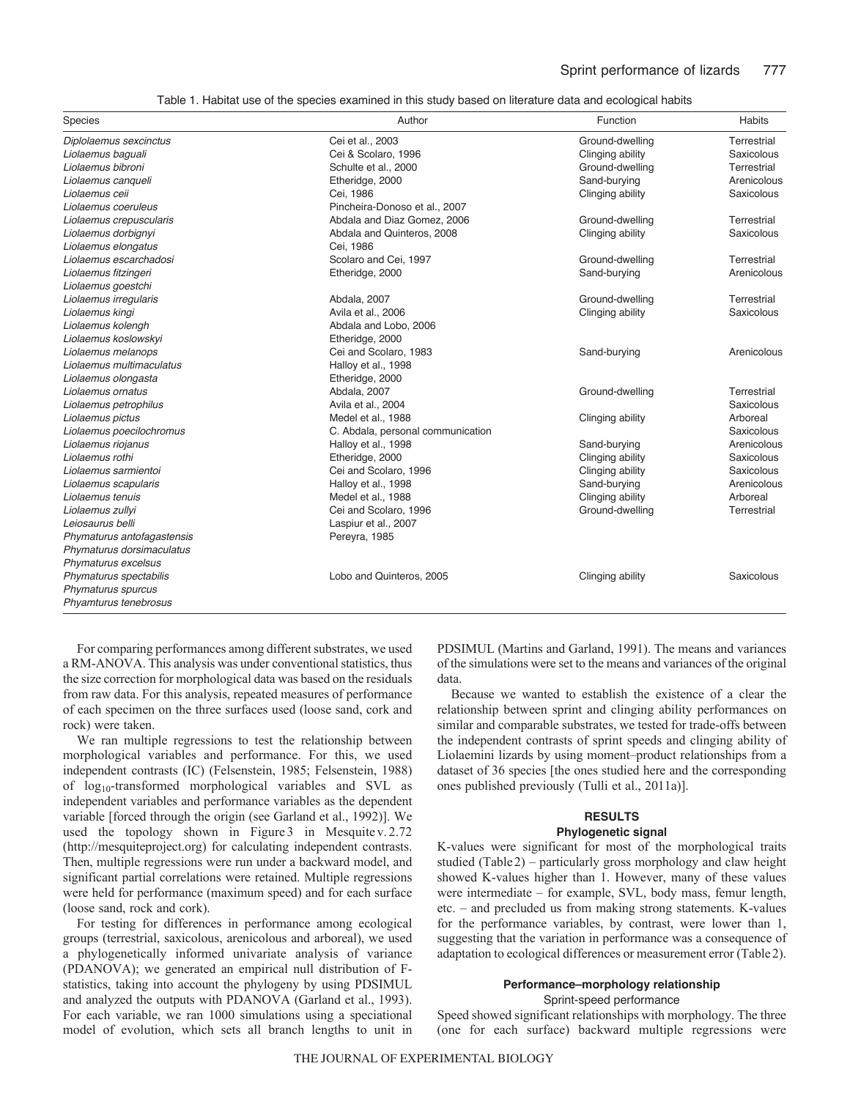Table 1. Habitat use of the species examined in this study based on literature data and ecological habits

| Species                    | Author                            | Function         | <b>Habits</b> |
|----------------------------|-----------------------------------|------------------|---------------|
| Diplolaemus sexcinctus     | Cei et al., 2003                  | Ground-dwelling  | Terrestrial   |
| Liolaemus baguali          | Cei & Scolaro, 1996               | Clinging ability | Saxicolous    |
| Liolaemus bibroni          | Schulte et al., 2000              | Ground-dwelling  | Terrestrial   |
| Liolaemus canqueli         | Etheridge, 2000                   | Sand-burying     | Arenicolous   |
| Liolaemus ceii             | Cei, 1986                         | Clinging ability | Saxicolous    |
| Liolaemus coeruleus        | Pincheira-Donoso et al., 2007     |                  |               |
| Liolaemus crepuscularis    | Abdala and Diaz Gomez, 2006       | Ground-dwelling  | Terrestrial   |
| Liolaemus dorbignyi        | Abdala and Quinteros, 2008        | Clinging ability | Saxicolous    |
| Liolaemus elongatus        | Cei. 1986                         |                  |               |
| Liolaemus escarchadosi     | Scolaro and Cei, 1997             | Ground-dwelling  | Terrestrial   |
| Liolaemus fitzingeri       | Etheridge, 2000                   | Sand-burying     | Arenicolous   |
| Liolaemus goestchi         |                                   |                  |               |
| Liolaemus irregularis      | Abdala, 2007                      | Ground-dwelling  | Terrestrial   |
| Liolaemus kingi            | Avila et al., 2006                | Clinging ability | Saxicolous    |
| Liolaemus kolengh          | Abdala and Lobo, 2006             |                  |               |
| Liolaemus koslowskyi       | Etheridge, 2000                   |                  |               |
| Liolaemus melanops         | Cei and Scolaro, 1983             | Sand-burying     | Arenicolous   |
| Liolaemus multimaculatus   | Halloy et al., 1998               |                  |               |
| Liolaemus olongasta        | Etheridge, 2000                   |                  |               |
| Liolaemus ornatus          | Abdala, 2007                      | Ground-dwelling  | Terrestrial   |
| Liolaemus petrophilus      | Avila et al., 2004                |                  | Saxicolous    |
| Liolaemus pictus           | Medel et al., 1988                | Clinging ability | Arboreal      |
| Liolaemus poecilochromus   | C. Abdala, personal communication |                  | Saxicolous    |
| Liolaemus riojanus         | Halloy et al., 1998               | Sand-burying     | Arenicolous   |
| Liolaemus rothi            | Etheridge, 2000                   | Clinging ability | Saxicolous    |
| Liolaemus sarmientoi       | Cei and Scolaro, 1996             | Clinging ability | Saxicolous    |
| Liolaemus scapularis       | Halloy et al., 1998               | Sand-burying     | Arenicolous   |
| Liolaemus tenuis           | Medel et al., 1988                | Clinging ability | Arboreal      |
| Liolaemus zullyi           | Cei and Scolaro, 1996             | Ground-dwelling  | Terrestrial   |
| Leiosaurus belli           | Laspiur et al., 2007              |                  |               |
| Phymaturus antofagastensis | Pereyra, 1985                     |                  |               |
| Phymaturus dorsimaculatus  |                                   |                  |               |
| Phymaturus excelsus        |                                   |                  |               |
| Phymaturus spectabilis     | Lobo and Quinteros, 2005          | Clinging ability | Saxicolous    |
| Phymaturus spurcus         |                                   |                  |               |
| Phyamturus tenebrosus      |                                   |                  |               |

For comparing performances among different substrates, we used a RM-ANOVA. This analysis was under conventional statistics, thus the size correction for morphological data was based on the residuals from raw data. For this analysis, repeated measures of performance of each specimen on the three surfaces used (loose sand, cork and rock) were taken.

We ran multiple regressions to test the relationship between morphological variables and performance. For this, we used independent contrasts (IC) (Felsenstein, 1985; Felsenstein, 1988) of log10-transformed morphological variables and SVL as independent variables and performance variables as the dependent variable [forced through the origin (see Garland et al., 1992)]. We used the topology shown in Figure 3 in Mesquite v. 2.72 (http://mesquiteproject.org) for calculating independent contrasts. Then, multiple regressions were run under a backward model, and significant partial correlations were retained. Multiple regressions were held for performance (maximum speed) and for each surface (loose sand, rock and cork).

For testing for differences in performance among ecological groups (terrestrial, saxicolous, arenicolous and arboreal), we used a phylogenetically informed univariate analysis of variance (PDANOVA); we generated an empirical null distribution of Fstatistics, taking into account the phylogeny by using PDSIMUL and analyzed the outputs with PDANOVA (Garland et al., 1993). For each variable, we ran 1000 simulations using a speciational model of evolution, which sets all branch lengths to unit in PDSIMUL (Martins and Garland, 1991). The means and variances of the simulations were set to the means and variances of the original data.

Because we wanted to establish the existence of a clear the relationship between sprint and clinging ability performances on similar and comparable substrates, we tested for trade-offs between the independent contrasts of sprint speeds and clinging ability of Liolaemini lizards by using moment–product relationships from a dataset of 36 species [the ones studied here and the corresponding ones published previously (Tulli et al., 2011a)].

## **RESULTS**

## **Phylogenetic signal**

K-values were significant for most of the morphological traits studied (Table2) – particularly gross morphology and claw height showed K-values higher than 1. However, many of these values were intermediate – for example, SVL, body mass, femur length, etc. – and precluded us from making strong statements. K-values for the performance variables, by contrast, were lower than 1, suggesting that the variation in performance was a consequence of adaptation to ecological differences or measurement error (Table2).

### **Performance–morphology relationship**

Sprint-speed performance

Speed showed significant relationships with morphology. The three (one for each surface) backward multiple regressions were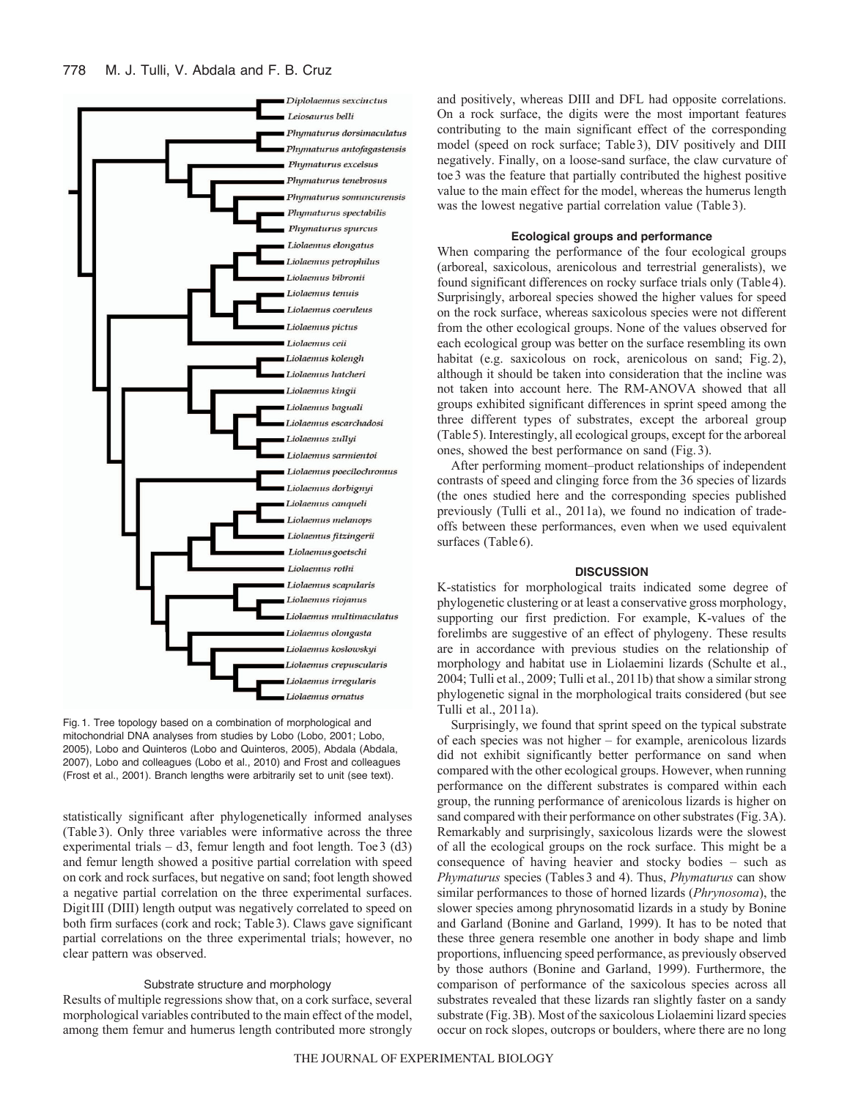

Fig. 1. Tree topology based on a combination of morphological and mitochondrial DNA analyses from studies by Lobo (Lobo, 2001; Lobo, 2005), Lobo and Quinteros (Lobo and Quinteros, 2005), Abdala (Abdala, 2007), Lobo and colleagues (Lobo et al., 2010) and Frost and colleagues (Frost et al., 2001). Branch lengths were arbitrarily set to unit (see text).

statistically significant after phylogenetically informed analyses (Table3). Only three variables were informative across the three experimental trials  $- d3$ , femur length and foot length. Toe 3 (d3) and femur length showed a positive partial correlation with speed on cork and rock surfaces, but negative on sand; foot length showed a negative partial correlation on the three experimental surfaces. DigitIII (DIII) length output was negatively correlated to speed on both firm surfaces (cork and rock; Table3). Claws gave significant partial correlations on the three experimental trials; however, no clear pattern was observed.

### Substrate structure and morphology

Results of multiple regressions show that, on a cork surface, several morphological variables contributed to the main effect of the model, among them femur and humerus length contributed more strongly and positively, whereas DIII and DFL had opposite correlations. On a rock surface, the digits were the most important features contributing to the main significant effect of the corresponding model (speed on rock surface; Table3), DIV positively and DIII negatively. Finally, on a loose-sand surface, the claw curvature of toe3 was the feature that partially contributed the highest positive value to the main effect for the model, whereas the humerus length was the lowest negative partial correlation value (Table3).

### **Ecological groups and performance**

When comparing the performance of the four ecological groups (arboreal, saxicolous, arenicolous and terrestrial generalists), we found significant differences on rocky surface trials only (Table4). Surprisingly, arboreal species showed the higher values for speed on the rock surface, whereas saxicolous species were not different from the other ecological groups. None of the values observed for each ecological group was better on the surface resembling its own habitat (e.g. saxicolous on rock, arenicolous on sand; Fig. 2), although it should be taken into consideration that the incline was not taken into account here. The RM-ANOVA showed that all groups exhibited significant differences in sprint speed among the three different types of substrates, except the arboreal group (Table5). Interestingly, all ecological groups, except for the arboreal ones, showed the best performance on sand (Fig.3).

After performing moment–product relationships of independent contrasts of speed and clinging force from the 36 species of lizards (the ones studied here and the corresponding species published previously (Tulli et al., 2011a), we found no indication of tradeoffs between these performances, even when we used equivalent surfaces (Table 6).

### **DISCUSSION**

K-statistics for morphological traits indicated some degree of phylogenetic clustering or at least a conservative gross morphology, supporting our first prediction. For example, K-values of the forelimbs are suggestive of an effect of phylogeny. These results are in accordance with previous studies on the relationship of morphology and habitat use in Liolaemini lizards (Schulte et al., 2004; Tulli et al., 2009; Tulli et al., 2011b) that show a similar strong phylogenetic signal in the morphological traits considered (but see Tulli et al., 2011a).

Surprisingly, we found that sprint speed on the typical substrate of each species was not higher – for example, arenicolous lizards did not exhibit significantly better performance on sand when compared with the other ecological groups. However, when running performance on the different substrates is compared within each group, the running performance of arenicolous lizards is higher on sand compared with their performance on other substrates (Fig.3A). Remarkably and surprisingly, saxicolous lizards were the slowest of all the ecological groups on the rock surface. This might be a consequence of having heavier and stocky bodies – such as *Phymaturus* species (Tables3 and 4). Thus, *Phymaturus* can show similar performances to those of horned lizards (*Phrynosoma*), the slower species among phrynosomatid lizards in a study by Bonine and Garland (Bonine and Garland, 1999). It has to be noted that these three genera resemble one another in body shape and limb proportions, influencing speed performance, as previously observed by those authors (Bonine and Garland, 1999). Furthermore, the comparison of performance of the saxicolous species across all substrates revealed that these lizards ran slightly faster on a sandy substrate (Fig.3B). Most of the saxicolous Liolaemini lizard species occur on rock slopes, outcrops or boulders, where there are no long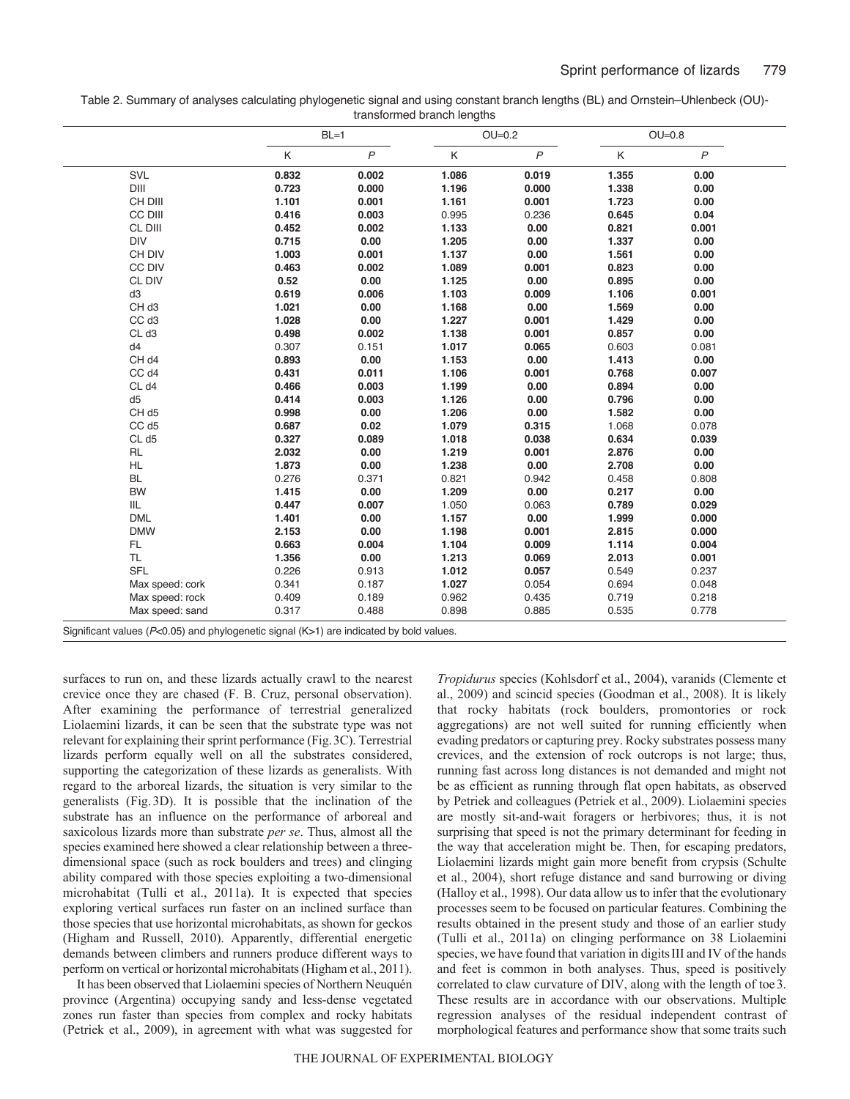| Table 2. Summary of analyses calculating phylogenetic signal and using constant branch lengths (BL) and Ornstein–Uhlenbeck (OU)- |  |
|----------------------------------------------------------------------------------------------------------------------------------|--|
| transformed branch lengths                                                                                                       |  |

|                   |       | $BL=1$         | $OU=0.2$ |              | $OU=0.8$ |                |
|-------------------|-------|----------------|----------|--------------|----------|----------------|
|                   | Κ     | $\overline{P}$ | Κ        | $\mathsf{P}$ | Κ        | $\overline{P}$ |
| SVL               | 0.832 | 0.002          | 1.086    | 0.019        | 1.355    | 0.00           |
| DIII              | 0.723 | 0.000          | 1.196    | 0.000        | 1.338    | 0.00           |
| CH DIII           | 1.101 | 0.001          | 1.161    | 0.001        | 1.723    | 0.00           |
| CC DIII           | 0.416 | 0.003          | 0.995    | 0.236        | 0.645    | 0.04           |
| CL DIII           | 0.452 | 0.002          | 1.133    | 0.00         | 0.821    | 0.001          |
| <b>DIV</b>        | 0.715 | 0.00           | 1.205    | 0.00         | 1.337    | 0.00           |
| CH DIV            | 1.003 | 0.001          | 1.137    | 0.00         | 1.561    | 0.00           |
| CC DIV            | 0.463 | 0.002          | 1.089    | 0.001        | 0.823    | 0.00           |
| CL DIV            | 0.52  | 0.00           | 1.125    | 0.00         | 0.895    | 0.00           |
| d3                | 0.619 | 0.006          | 1.103    | 0.009        | 1.106    | 0.001          |
| CH <sub>d3</sub>  | 1.021 | 0.00           | 1.168    | 0.00         | 1.569    | 0.00           |
| CC d <sub>3</sub> | 1.028 | 0.00           | 1.227    | 0.001        | 1.429    | 0.00           |
| CL d3             | 0.498 | 0.002          | 1.138    | 0.001        | 0.857    | 0.00           |
| d4                | 0.307 | 0.151          | 1.017    | 0.065        | 0.603    | 0.081          |
| CH d4             | 0.893 | 0.00           | 1.153    | 0.00         | 1.413    | 0.00           |
| CC d4             | 0.431 | 0.011          | 1.106    | 0.001        | 0.768    | 0.007          |
| CL d4             | 0.466 | 0.003          | 1.199    | 0.00         | 0.894    | 0.00           |
| d5                | 0.414 | 0.003          | 1.126    | 0.00         | 0.796    | 0.00           |
| CH <sub>d5</sub>  | 0.998 | 0.00           | 1.206    | 0.00         | 1.582    | 0.00           |
| CC d5             | 0.687 | 0.02           | 1.079    | 0.315        | 1.068    | 0.078          |
| CL d5             | 0.327 | 0.089          | 1.018    | 0.038        | 0.634    | 0.039          |
| <b>RL</b>         | 2.032 | 0.00           | 1.219    | 0.001        | 2.876    | 0.00           |
| <b>HL</b>         | 1.873 | 0.00           | 1.238    | 0.00         | 2.708    | 0.00           |
| <b>BL</b>         | 0.276 | 0.371          | 0.821    | 0.942        | 0.458    | 0.808          |
| <b>BW</b>         | 1.415 | 0.00           | 1.209    | 0.00         | 0.217    | 0.00           |
| IIL               | 0.447 | 0.007          | 1.050    | 0.063        | 0.789    | 0.029          |
| <b>DML</b>        | 1.401 | 0.00           | 1.157    | 0.00         | 1.999    | 0.000          |
| <b>DMW</b>        | 2.153 | 0.00           | 1.198    | 0.001        | 2.815    | 0.000          |
| FL.               | 0.663 | 0.004          | 1.104    | 0.009        | 1.114    | 0.004          |
| <b>TL</b>         | 1.356 | 0.00           | 1.213    | 0.069        | 2.013    | 0.001          |
| <b>SFL</b>        | 0.226 | 0.913          | 1.012    | 0.057        | 0.549    | 0.237          |
| Max speed: cork   | 0.341 | 0.187          | 1.027    | 0.054        | 0.694    | 0.048          |
| Max speed: rock   | 0.409 | 0.189          | 0.962    | 0.435        | 0.719    | 0.218          |
| Max speed: sand   | 0.317 | 0.488          | 0.898    | 0.885        | 0.535    | 0.778          |

surfaces to run on, and these lizards actually crawl to the nearest crevice once they are chased (F. B. Cruz, personal observation). After examining the performance of terrestrial generalized Liolaemini lizards, it can be seen that the substrate type was not relevant for explaining their sprint performance (Fig.3C). Terrestrial lizards perform equally well on all the substrates considered, supporting the categorization of these lizards as generalists. With regard to the arboreal lizards, the situation is very similar to the generalists (Fig.3D). It is possible that the inclination of the substrate has an influence on the performance of arboreal and saxicolous lizards more than substrate *per se*. Thus, almost all the species examined here showed a clear relationship between a threedimensional space (such as rock boulders and trees) and clinging ability compared with those species exploiting a two-dimensional microhabitat (Tulli et al., 2011a). It is expected that species exploring vertical surfaces run faster on an inclined surface than those species that use horizontal microhabitats, as shown for geckos (Higham and Russell, 2010). Apparently, differential energetic demands between climbers and runners produce different ways to perform on vertical or horizontal microhabitats (Higham et al., 2011).

It has been observed that Liolaemini species of Northern Neuquén province (Argentina) occupying sandy and less-dense vegetated zones run faster than species from complex and rocky habitats (Petriek et al., 2009), in agreement with what was suggested for *Tropidurus* species (Kohlsdorf et al., 2004), varanids (Clemente et al., 2009) and scincid species (Goodman et al., 2008). It is likely that rocky habitats (rock boulders, promontories or rock aggregations) are not well suited for running efficiently when evading predators or capturing prey. Rocky substrates possess many crevices, and the extension of rock outcrops is not large; thus, running fast across long distances is not demanded and might not be as efficient as running through flat open habitats, as observed by Petriek and colleagues (Petriek et al., 2009). Liolaemini species are mostly sit-and-wait foragers or herbivores; thus, it is not surprising that speed is not the primary determinant for feeding in the way that acceleration might be. Then, for escaping predators, Liolaemini lizards might gain more benefit from crypsis (Schulte et al., 2004), short refuge distance and sand burrowing or diving (Halloy et al., 1998). Our data allow us to infer that the evolutionary processes seem to be focused on particular features. Combining the results obtained in the present study and those of an earlier study (Tulli et al., 2011a) on clinging performance on 38 Liolaemini species, we have found that variation in digitsIII and IV of the hands and feet is common in both analyses. Thus, speed is positively correlated to claw curvature of DIV, along with the length of toe3. These results are in accordance with our observations. Multiple regression analyses of the residual independent contrast of morphological features and performance show that some traits such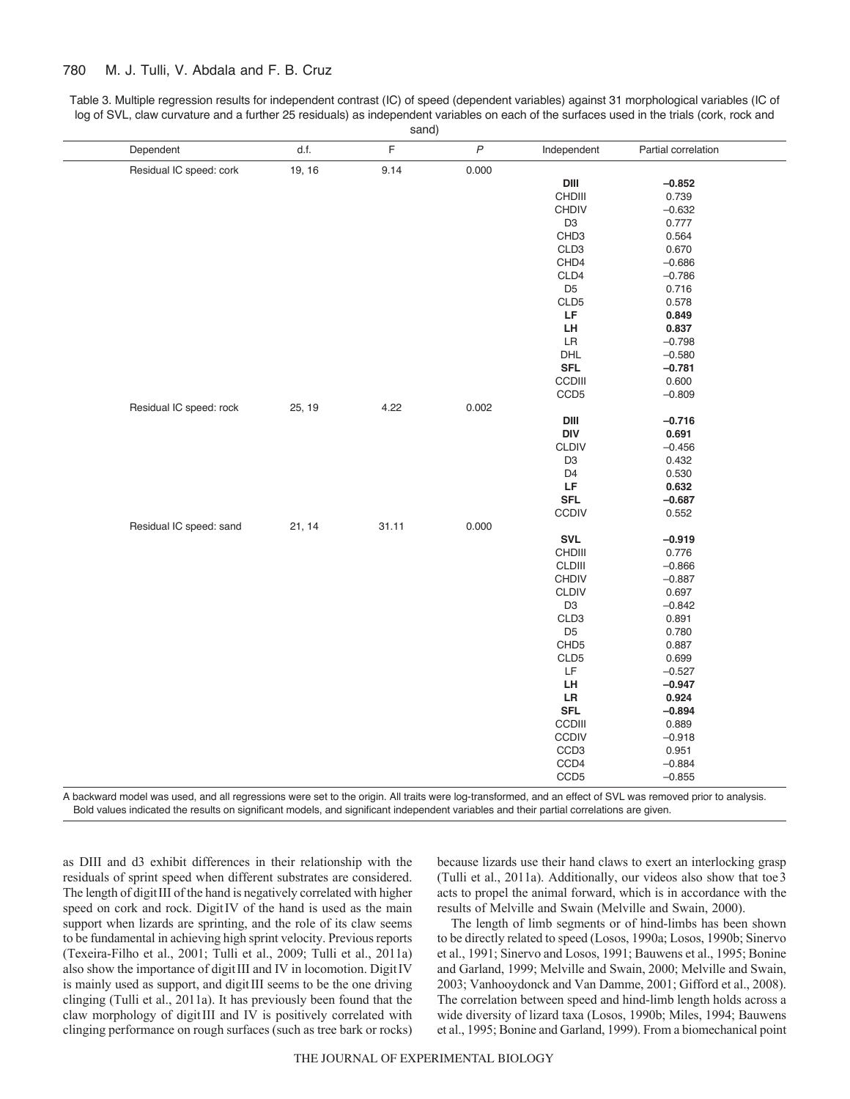#### 780 M. J. Tulli, V. Abdala and F. B. Cruz

Table 3. Multiple regression results for independent contrast (IC) of speed (dependent variables) against 31 morphological variables (IC of log of SVL, claw curvature and a further 25 residuals) as independent variables on each of the surfaces used in the trials (cork, rock and sand)

| F<br>$\boldsymbol{P}$<br>d.f.<br>Dependent<br>Independent<br>Partial correlation<br>Residual IC speed: cork<br>19, 16<br>9.14<br>0.000<br>$DIII$<br>$-0.852$<br>CHDIII<br>0.739<br><b>CHDIV</b><br>$-0.632$<br>D <sub>3</sub><br>0.777<br>CHD <sub>3</sub><br>0.564<br>CLD <sub>3</sub><br>0.670<br>CHD4<br>$-0.686$<br>CLD4<br>$-0.786$<br>D <sub>5</sub><br>0.716<br>CLD5<br>0.578<br>LF<br>0.849<br>LH<br>0.837<br>$\ensuremath{\mathsf{LR}}\xspace$<br>$-0.798$<br>DHL<br>$-0.580$<br>$\ensuremath{\mathsf{SFL}}$<br>$-0.781$<br>CCDIII<br>0.600<br>CCD <sub>5</sub><br>$-0.809$<br>0.002<br>Residual IC speed: rock<br>25, 19<br>4.22<br>$DIII$<br>$-0.716$<br><b>DIV</b><br>0.691<br><b>CLDIV</b><br>$-0.456$<br>D <sub>3</sub><br>0.432<br>0.530<br>D <sub>4</sub><br>LF<br>0.632<br><b>SFL</b><br>$-0.687$<br>CCDIV<br>0.552<br>Residual IC speed: sand<br>21, 14<br>31.11<br>0.000<br>$\textsf{SVL}$<br>$-0.919$<br>CHDIII<br>0.776<br>CLDIII<br>$-0.866$<br><b>CHDIV</b><br>$-0.887$<br><b>CLDIV</b><br>0.697<br>D <sub>3</sub><br>$-0.842$<br>CLD <sub>3</sub><br>0.891<br>D <sub>5</sub><br>0.780<br>CHD <sub>5</sub><br>0.887<br>CLD5<br>0.699<br>LF<br>$-0.527$<br>LH<br>$-0.947$<br>${\sf LR}$<br>0.924<br><b>SFL</b><br>$-0.894$<br>CCDIII<br>0.889<br><b>CCDIV</b><br>$-0.918$<br>CCD3<br>0.951<br>CCD4<br>$-0.884$<br>CCD <sub>5</sub><br>$-0.855$ |  | 5414 |  |  |
|----------------------------------------------------------------------------------------------------------------------------------------------------------------------------------------------------------------------------------------------------------------------------------------------------------------------------------------------------------------------------------------------------------------------------------------------------------------------------------------------------------------------------------------------------------------------------------------------------------------------------------------------------------------------------------------------------------------------------------------------------------------------------------------------------------------------------------------------------------------------------------------------------------------------------------------------------------------------------------------------------------------------------------------------------------------------------------------------------------------------------------------------------------------------------------------------------------------------------------------------------------------------------------------------------------------------------------------------------------------------|--|------|--|--|
|                                                                                                                                                                                                                                                                                                                                                                                                                                                                                                                                                                                                                                                                                                                                                                                                                                                                                                                                                                                                                                                                                                                                                                                                                                                                                                                                                                      |  |      |  |  |
|                                                                                                                                                                                                                                                                                                                                                                                                                                                                                                                                                                                                                                                                                                                                                                                                                                                                                                                                                                                                                                                                                                                                                                                                                                                                                                                                                                      |  |      |  |  |
|                                                                                                                                                                                                                                                                                                                                                                                                                                                                                                                                                                                                                                                                                                                                                                                                                                                                                                                                                                                                                                                                                                                                                                                                                                                                                                                                                                      |  |      |  |  |
|                                                                                                                                                                                                                                                                                                                                                                                                                                                                                                                                                                                                                                                                                                                                                                                                                                                                                                                                                                                                                                                                                                                                                                                                                                                                                                                                                                      |  |      |  |  |
|                                                                                                                                                                                                                                                                                                                                                                                                                                                                                                                                                                                                                                                                                                                                                                                                                                                                                                                                                                                                                                                                                                                                                                                                                                                                                                                                                                      |  |      |  |  |
|                                                                                                                                                                                                                                                                                                                                                                                                                                                                                                                                                                                                                                                                                                                                                                                                                                                                                                                                                                                                                                                                                                                                                                                                                                                                                                                                                                      |  |      |  |  |
|                                                                                                                                                                                                                                                                                                                                                                                                                                                                                                                                                                                                                                                                                                                                                                                                                                                                                                                                                                                                                                                                                                                                                                                                                                                                                                                                                                      |  |      |  |  |
|                                                                                                                                                                                                                                                                                                                                                                                                                                                                                                                                                                                                                                                                                                                                                                                                                                                                                                                                                                                                                                                                                                                                                                                                                                                                                                                                                                      |  |      |  |  |
|                                                                                                                                                                                                                                                                                                                                                                                                                                                                                                                                                                                                                                                                                                                                                                                                                                                                                                                                                                                                                                                                                                                                                                                                                                                                                                                                                                      |  |      |  |  |
|                                                                                                                                                                                                                                                                                                                                                                                                                                                                                                                                                                                                                                                                                                                                                                                                                                                                                                                                                                                                                                                                                                                                                                                                                                                                                                                                                                      |  |      |  |  |
|                                                                                                                                                                                                                                                                                                                                                                                                                                                                                                                                                                                                                                                                                                                                                                                                                                                                                                                                                                                                                                                                                                                                                                                                                                                                                                                                                                      |  |      |  |  |
|                                                                                                                                                                                                                                                                                                                                                                                                                                                                                                                                                                                                                                                                                                                                                                                                                                                                                                                                                                                                                                                                                                                                                                                                                                                                                                                                                                      |  |      |  |  |
|                                                                                                                                                                                                                                                                                                                                                                                                                                                                                                                                                                                                                                                                                                                                                                                                                                                                                                                                                                                                                                                                                                                                                                                                                                                                                                                                                                      |  |      |  |  |
|                                                                                                                                                                                                                                                                                                                                                                                                                                                                                                                                                                                                                                                                                                                                                                                                                                                                                                                                                                                                                                                                                                                                                                                                                                                                                                                                                                      |  |      |  |  |
|                                                                                                                                                                                                                                                                                                                                                                                                                                                                                                                                                                                                                                                                                                                                                                                                                                                                                                                                                                                                                                                                                                                                                                                                                                                                                                                                                                      |  |      |  |  |
|                                                                                                                                                                                                                                                                                                                                                                                                                                                                                                                                                                                                                                                                                                                                                                                                                                                                                                                                                                                                                                                                                                                                                                                                                                                                                                                                                                      |  |      |  |  |
|                                                                                                                                                                                                                                                                                                                                                                                                                                                                                                                                                                                                                                                                                                                                                                                                                                                                                                                                                                                                                                                                                                                                                                                                                                                                                                                                                                      |  |      |  |  |
|                                                                                                                                                                                                                                                                                                                                                                                                                                                                                                                                                                                                                                                                                                                                                                                                                                                                                                                                                                                                                                                                                                                                                                                                                                                                                                                                                                      |  |      |  |  |
|                                                                                                                                                                                                                                                                                                                                                                                                                                                                                                                                                                                                                                                                                                                                                                                                                                                                                                                                                                                                                                                                                                                                                                                                                                                                                                                                                                      |  |      |  |  |
|                                                                                                                                                                                                                                                                                                                                                                                                                                                                                                                                                                                                                                                                                                                                                                                                                                                                                                                                                                                                                                                                                                                                                                                                                                                                                                                                                                      |  |      |  |  |
|                                                                                                                                                                                                                                                                                                                                                                                                                                                                                                                                                                                                                                                                                                                                                                                                                                                                                                                                                                                                                                                                                                                                                                                                                                                                                                                                                                      |  |      |  |  |
|                                                                                                                                                                                                                                                                                                                                                                                                                                                                                                                                                                                                                                                                                                                                                                                                                                                                                                                                                                                                                                                                                                                                                                                                                                                                                                                                                                      |  |      |  |  |
|                                                                                                                                                                                                                                                                                                                                                                                                                                                                                                                                                                                                                                                                                                                                                                                                                                                                                                                                                                                                                                                                                                                                                                                                                                                                                                                                                                      |  |      |  |  |
|                                                                                                                                                                                                                                                                                                                                                                                                                                                                                                                                                                                                                                                                                                                                                                                                                                                                                                                                                                                                                                                                                                                                                                                                                                                                                                                                                                      |  |      |  |  |
|                                                                                                                                                                                                                                                                                                                                                                                                                                                                                                                                                                                                                                                                                                                                                                                                                                                                                                                                                                                                                                                                                                                                                                                                                                                                                                                                                                      |  |      |  |  |
|                                                                                                                                                                                                                                                                                                                                                                                                                                                                                                                                                                                                                                                                                                                                                                                                                                                                                                                                                                                                                                                                                                                                                                                                                                                                                                                                                                      |  |      |  |  |
|                                                                                                                                                                                                                                                                                                                                                                                                                                                                                                                                                                                                                                                                                                                                                                                                                                                                                                                                                                                                                                                                                                                                                                                                                                                                                                                                                                      |  |      |  |  |
|                                                                                                                                                                                                                                                                                                                                                                                                                                                                                                                                                                                                                                                                                                                                                                                                                                                                                                                                                                                                                                                                                                                                                                                                                                                                                                                                                                      |  |      |  |  |
|                                                                                                                                                                                                                                                                                                                                                                                                                                                                                                                                                                                                                                                                                                                                                                                                                                                                                                                                                                                                                                                                                                                                                                                                                                                                                                                                                                      |  |      |  |  |
|                                                                                                                                                                                                                                                                                                                                                                                                                                                                                                                                                                                                                                                                                                                                                                                                                                                                                                                                                                                                                                                                                                                                                                                                                                                                                                                                                                      |  |      |  |  |
|                                                                                                                                                                                                                                                                                                                                                                                                                                                                                                                                                                                                                                                                                                                                                                                                                                                                                                                                                                                                                                                                                                                                                                                                                                                                                                                                                                      |  |      |  |  |
|                                                                                                                                                                                                                                                                                                                                                                                                                                                                                                                                                                                                                                                                                                                                                                                                                                                                                                                                                                                                                                                                                                                                                                                                                                                                                                                                                                      |  |      |  |  |
|                                                                                                                                                                                                                                                                                                                                                                                                                                                                                                                                                                                                                                                                                                                                                                                                                                                                                                                                                                                                                                                                                                                                                                                                                                                                                                                                                                      |  |      |  |  |
|                                                                                                                                                                                                                                                                                                                                                                                                                                                                                                                                                                                                                                                                                                                                                                                                                                                                                                                                                                                                                                                                                                                                                                                                                                                                                                                                                                      |  |      |  |  |
|                                                                                                                                                                                                                                                                                                                                                                                                                                                                                                                                                                                                                                                                                                                                                                                                                                                                                                                                                                                                                                                                                                                                                                                                                                                                                                                                                                      |  |      |  |  |
|                                                                                                                                                                                                                                                                                                                                                                                                                                                                                                                                                                                                                                                                                                                                                                                                                                                                                                                                                                                                                                                                                                                                                                                                                                                                                                                                                                      |  |      |  |  |
|                                                                                                                                                                                                                                                                                                                                                                                                                                                                                                                                                                                                                                                                                                                                                                                                                                                                                                                                                                                                                                                                                                                                                                                                                                                                                                                                                                      |  |      |  |  |
|                                                                                                                                                                                                                                                                                                                                                                                                                                                                                                                                                                                                                                                                                                                                                                                                                                                                                                                                                                                                                                                                                                                                                                                                                                                                                                                                                                      |  |      |  |  |
|                                                                                                                                                                                                                                                                                                                                                                                                                                                                                                                                                                                                                                                                                                                                                                                                                                                                                                                                                                                                                                                                                                                                                                                                                                                                                                                                                                      |  |      |  |  |
|                                                                                                                                                                                                                                                                                                                                                                                                                                                                                                                                                                                                                                                                                                                                                                                                                                                                                                                                                                                                                                                                                                                                                                                                                                                                                                                                                                      |  |      |  |  |
|                                                                                                                                                                                                                                                                                                                                                                                                                                                                                                                                                                                                                                                                                                                                                                                                                                                                                                                                                                                                                                                                                                                                                                                                                                                                                                                                                                      |  |      |  |  |
|                                                                                                                                                                                                                                                                                                                                                                                                                                                                                                                                                                                                                                                                                                                                                                                                                                                                                                                                                                                                                                                                                                                                                                                                                                                                                                                                                                      |  |      |  |  |
|                                                                                                                                                                                                                                                                                                                                                                                                                                                                                                                                                                                                                                                                                                                                                                                                                                                                                                                                                                                                                                                                                                                                                                                                                                                                                                                                                                      |  |      |  |  |
|                                                                                                                                                                                                                                                                                                                                                                                                                                                                                                                                                                                                                                                                                                                                                                                                                                                                                                                                                                                                                                                                                                                                                                                                                                                                                                                                                                      |  |      |  |  |
|                                                                                                                                                                                                                                                                                                                                                                                                                                                                                                                                                                                                                                                                                                                                                                                                                                                                                                                                                                                                                                                                                                                                                                                                                                                                                                                                                                      |  |      |  |  |
|                                                                                                                                                                                                                                                                                                                                                                                                                                                                                                                                                                                                                                                                                                                                                                                                                                                                                                                                                                                                                                                                                                                                                                                                                                                                                                                                                                      |  |      |  |  |
|                                                                                                                                                                                                                                                                                                                                                                                                                                                                                                                                                                                                                                                                                                                                                                                                                                                                                                                                                                                                                                                                                                                                                                                                                                                                                                                                                                      |  |      |  |  |
|                                                                                                                                                                                                                                                                                                                                                                                                                                                                                                                                                                                                                                                                                                                                                                                                                                                                                                                                                                                                                                                                                                                                                                                                                                                                                                                                                                      |  |      |  |  |

A backward model was used, and all regressions were set to the origin. All traits were log-transformed, and an effect of SVL was removed prior to analysis. Bold values indicated the results on significant models, and significant independent variables and their partial correlations are given.

as DIII and d3 exhibit differences in their relationship with the residuals of sprint speed when different substrates are considered. The length of digitIII of the hand is negatively correlated with higher speed on cork and rock. DigitIV of the hand is used as the main support when lizards are sprinting, and the role of its claw seems to be fundamental in achieving high sprint velocity. Previous reports (Texeira-Filho et al., 2001; Tulli et al., 2009; Tulli et al., 2011a) also show the importance of digitIII and IV in locomotion. DigitIV is mainly used as support, and digitIII seems to be the one driving clinging (Tulli et al., 2011a). It has previously been found that the claw morphology of digitIII and IV is positively correlated with clinging performance on rough surfaces (such as tree bark or rocks) because lizards use their hand claws to exert an interlocking grasp (Tulli et al., 2011a). Additionally, our videos also show that toe3 acts to propel the animal forward, which is in accordance with the results of Melville and Swain (Melville and Swain, 2000).

The length of limb segments or of hind-limbs has been shown to be directly related to speed (Losos, 1990a; Losos, 1990b; Sinervo et al., 1991; Sinervo and Losos, 1991; Bauwens et al., 1995; Bonine and Garland, 1999; Melville and Swain, 2000; Melville and Swain, 2003; Vanhooydonck and Van Damme, 2001; Gifford et al., 2008). The correlation between speed and hind-limb length holds across a wide diversity of lizard taxa (Losos, 1990b; Miles, 1994; Bauwens et al., 1995; Bonine and Garland, 1999). From a biomechanical point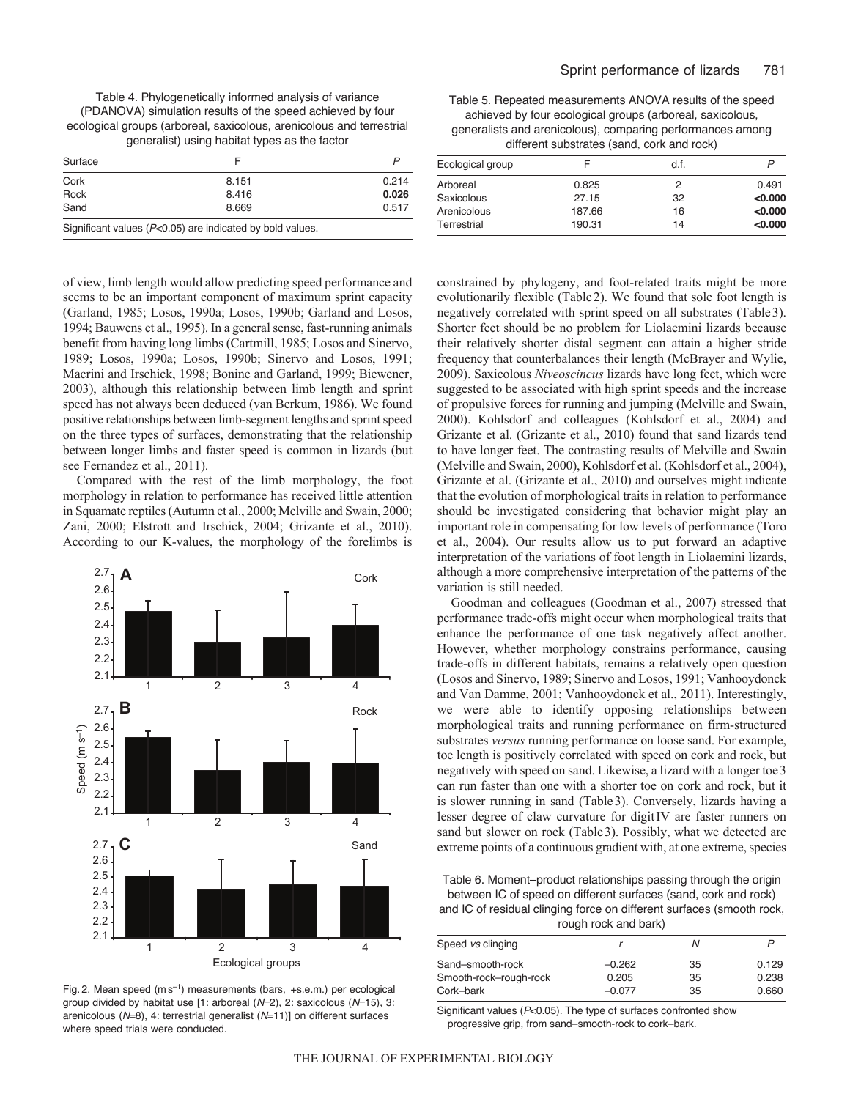Table 4. Phylogenetically informed analysis of variance (PDANOVA) simulation results of the speed achieved by four ecological groups (arboreal, saxicolous, arenicolous and terrestrial generalist) using habitat types as the factor

| Surface |                                                                                                                                                                                                                                |       |
|---------|--------------------------------------------------------------------------------------------------------------------------------------------------------------------------------------------------------------------------------|-------|
| Cork    | 8.151                                                                                                                                                                                                                          | 0.214 |
| Rock    | 8.416                                                                                                                                                                                                                          | 0.026 |
| Sand    | 8.669                                                                                                                                                                                                                          | 0.517 |
|         | Other Warrants and the control of OCA and the distribution of the control of the control of the Control of the Control of the Control of the Control of the Control of the Control of the Control of the Control of the Contro |       |

Significant values (*P*<0.05) are indicated by bold values.

of view, limb length would allow predicting speed performance and seems to be an important component of maximum sprint capacity (Garland, 1985; Losos, 1990a; Losos, 1990b; Garland and Losos, 1994; Bauwens et al., 1995). In a general sense, fast-running animals benefit from having long limbs (Cartmill, 1985; Losos and Sinervo, 1989; Losos, 1990a; Losos, 1990b; Sinervo and Losos, 1991; Macrini and Irschick, 1998; Bonine and Garland, 1999; Biewener, 2003), although this relationship between limb length and sprint speed has not always been deduced (van Berkum, 1986). We found positive relationships between limb-segment lengths and sprint speed on the three types of surfaces, demonstrating that the relationship between longer limbs and faster speed is common in lizards (but see Fernandez et al., 2011).

Compared with the rest of the limb morphology, the foot morphology in relation to performance has received little attention in Squamate reptiles (Autumn et al., 2000; Melville and Swain, 2000; Zani, 2000; Elstrott and Irschick, 2004; Grizante et al., 2010). According to our K-values, the morphology of the forelimbs is



Fig. 2. Mean speed  $(m s^{-1})$  measurements (bars, +s.e.m.) per ecological group divided by habitat use [1: arboreal ( $N=2$ ), 2: saxicolous ( $N=15$ ), 3: arenicolous (N=8), 4: terrestrial generalist (N=11)] on different surfaces where speed trials were conducted.

Table 5. Repeated measurements ANOVA results of the speed achieved by four ecological groups (arboreal, saxicolous, generalists and arenicolous), comparing performances among different substrates (sand, cork and rock)

| Ecological group |        | d.f. |         |
|------------------|--------|------|---------|
| Arboreal         | 0.825  | 2    | 0.491   |
| Saxicolous       | 27.15  | 32   | < 0.000 |
| Arenicolous      | 187.66 | 16   | < 0.000 |
| Terrestrial      | 190.31 | 14   | < 0.000 |

constrained by phylogeny, and foot-related traits might be more evolutionarily flexible (Table2). We found that sole foot length is negatively correlated with sprint speed on all substrates (Table3). Shorter feet should be no problem for Liolaemini lizards because their relatively shorter distal segment can attain a higher stride frequency that counterbalances their length (McBrayer and Wylie, 2009). Saxicolous *Niveoscincus* lizards have long feet, which were suggested to be associated with high sprint speeds and the increase of propulsive forces for running and jumping (Melville and Swain, 2000). Kohlsdorf and colleagues (Kohlsdorf et al., 2004) and Grizante et al. (Grizante et al., 2010) found that sand lizards tend to have longer feet. The contrasting results of Melville and Swain (Melville and Swain, 2000), Kohlsdorf et al. (Kohlsdorf et al., 2004), Grizante et al. (Grizante et al., 2010) and ourselves might indicate that the evolution of morphological traits in relation to performance should be investigated considering that behavior might play an important role in compensating for low levels of performance (Toro et al., 2004). Our results allow us to put forward an adaptive interpretation of the variations of foot length in Liolaemini lizards, although a more comprehensive interpretation of the patterns of the variation is still needed.

Goodman and colleagues (Goodman et al., 2007) stressed that performance trade-offs might occur when morphological traits that enhance the performance of one task negatively affect another. However, whether morphology constrains performance, causing trade-offs in different habitats, remains a relatively open question (Losos and Sinervo, 1989; Sinervo and Losos, 1991; Vanhooydonck and Van Damme, 2001; Vanhooydonck et al., 2011). Interestingly, we were able to identify opposing relationships between morphological traits and running performance on firm-structured substrates *versus* running performance on loose sand. For example, toe length is positively correlated with speed on cork and rock, but negatively with speed on sand. Likewise, a lizard with a longer toe3 can run faster than one with a shorter toe on cork and rock, but it is slower running in sand (Table3). Conversely, lizards having a lesser degree of claw curvature for digitIV are faster runners on sand but slower on rock (Table3). Possibly, what we detected are extreme points of a continuous gradient with, at one extreme, species

Table 6. Moment–product relationships passing through the origin between IC of speed on different surfaces (sand, cork and rock) and IC of residual clinging force on different surfaces (smooth rock, rough rock and bark)

| Speed vs clinging      |          |    |       |
|------------------------|----------|----|-------|
| Sand-smooth-rock       | $-0.262$ | 35 | 0.129 |
| Smooth-rock-rough-rock | 0.205    | 35 | 0.238 |
| Cork–bark              | $-0.077$ | 35 | 0.660 |
|                        |          |    |       |

Significant values (*P*<0.05). The type of surfaces confronted show progressive grip, from sand–smooth-rock to cork–bark.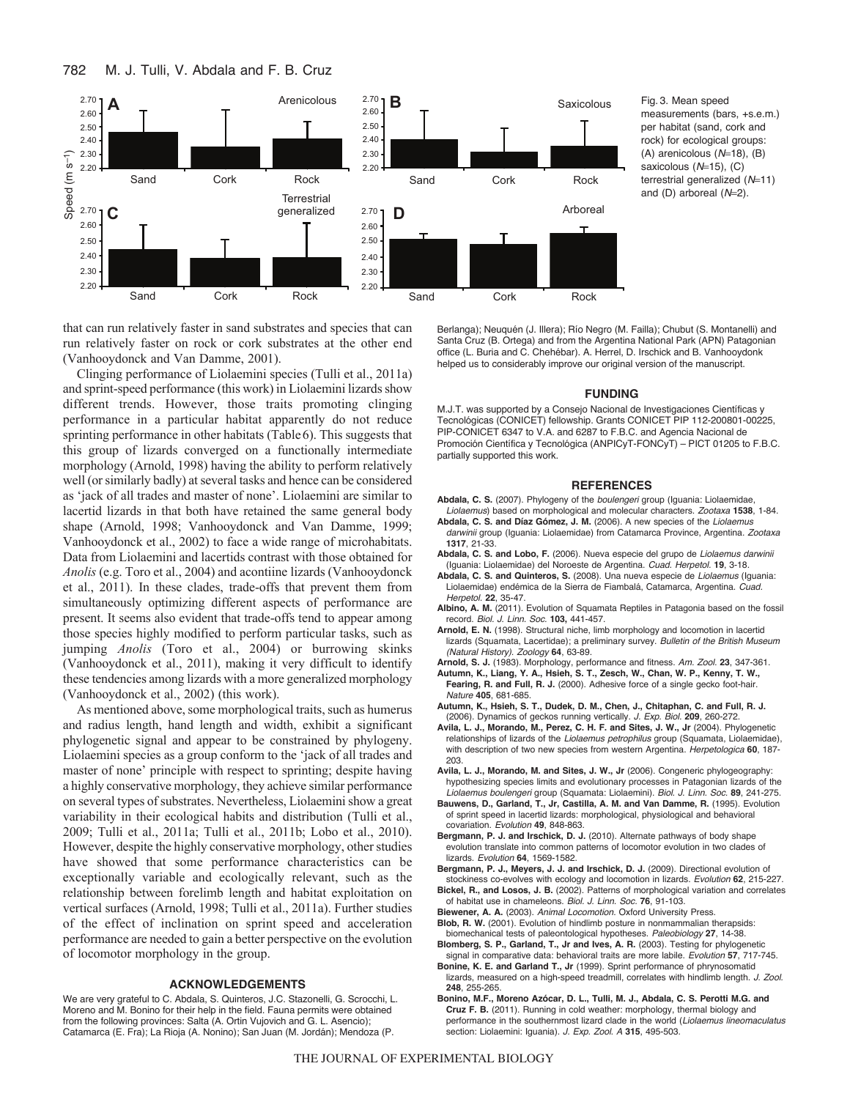782 M. J. Tulli, V. Abdala and F. B. Cruz



Fig. 3. Mean speed measurements (bars, +s.e.m.) per habitat (sand, cork and rock) for ecological groups:  $(A)$  arenicolous  $(N=18)$ ,  $(B)$ saxicolous ( $N=15$ ), (C) terrestrial generalized (N=11) and (D) arboreal ( $N=2$ ).

that can run relatively faster in sand substrates and species that can run relatively faster on rock or cork substrates at the other end (Vanhooydonck and Van Damme, 2001).

Clinging performance of Liolaemini species (Tulli et al., 2011a) and sprint-speed performance (this work) in Liolaemini lizards show different trends. However, those traits promoting clinging performance in a particular habitat apparently do not reduce sprinting performance in other habitats (Table6). This suggests that this group of lizards converged on a functionally intermediate morphology (Arnold, 1998) having the ability to perform relatively well (or similarly badly) at several tasks and hence can be considered as 'jack of all trades and master of none'. Liolaemini are similar to lacertid lizards in that both have retained the same general body shape (Arnold, 1998; Vanhooydonck and Van Damme, 1999; Vanhooydonck et al., 2002) to face a wide range of microhabitats. Data from Liolaemini and lacertids contrast with those obtained for *Anolis* (e.g. Toro et al., 2004) and acontiine lizards (Vanhooydonck et al., 2011). In these clades, trade-offs that prevent them from simultaneously optimizing different aspects of performance are present. It seems also evident that trade-offs tend to appear among those species highly modified to perform particular tasks, such as jumping *Anolis* (Toro et al., 2004) or burrowing skinks (Vanhooydonck et al., 2011), making it very difficult to identify these tendencies among lizards with a more generalized morphology (Vanhooydonck et al., 2002) (this work).

As mentioned above, some morphological traits, such as humerus and radius length, hand length and width, exhibit a significant phylogenetic signal and appear to be constrained by phylogeny. Liolaemini species as a group conform to the 'jack of all trades and master of none' principle with respect to sprinting; despite having a highly conservative morphology, they achieve similar performance on several types of substrates. Nevertheless, Liolaemini show a great variability in their ecological habits and distribution (Tulli et al., 2009; Tulli et al., 2011a; Tulli et al., 2011b; Lobo et al., 2010). However, despite the highly conservative morphology, other studies have showed that some performance characteristics can be exceptionally variable and ecologically relevant, such as the relationship between forelimb length and habitat exploitation on vertical surfaces (Arnold, 1998; Tulli et al., 2011a). Further studies of the effect of inclination on sprint speed and acceleration performance are needed to gain a better perspective on the evolution of locomotor morphology in the group.

### **ACKNOWLEDGEMENTS**

We are very grateful to C. Abdala, S. Quinteros, J.C. Stazonelli, G. Scrocchi, L. Moreno and M. Bonino for their help in the field. Fauna permits were obtained from the following provinces: Salta (A. Ortin Vujovich and G. L. Asencio); Catamarca (E. Fra); La Rioja (A. Nonino); San Juan (M. Jordán); Mendoza (P.

Berlanga); Neuquén (J. Illera); Río Negro (M. Failla); Chubut (S. Montanelli) and Santa Cruz (B. Ortega) and from the Argentina National Park (APN) Patagonian office (L. Buria and C. Chehébar). A. Herrel, D. Irschick and B. Vanhooydonk helped us to considerably improve our original version of the manuscript.

#### **FUNDING**

M.J.T. was supported by a Consejo Nacional de Investigaciones Científicas y Tecnológicas (CONICET) fellowship. Grants CONICET PIP 112-200801-00225, PIP-CONICET 6347 to V.A. and 6287 to F.B.C. and Agencia Nacional de Promoción Científica y Tecnológica (ANPICyT-FONCyT) – PICT 01205 to F.B.C. partially supported this work.

#### **REFERENCES**

- **Abdala, C. S.** (2007). Phylogeny of the *boulengeri* group (Iguania: Liolaemidae, *Liolaemus*) based on morphological and molecular characters. *Zootaxa* **1538**, 1-84.
- **Abdala, C. S. and Díaz Gómez, J. M.** (2006). A new species of the *Liolaemus darwinii* group (Iguania: Liolaemidae) from Catamarca Province, Argentina. *Zootaxa* **1317**, 21-33.
- **Abdala, C. S. and Lobo, F.** (2006). Nueva especie del grupo de *Liolaemus darwinii* (Iguania: Liolaemidae) del Noroeste de Argentina. *Cuad. Herpetol.* **19**, 3-18.
- **Abdala, C. S. and Quinteros, S.** (2008). Una nueva especie de *Liolaemus* (Iguania: Liolaemidae) endémica de la Sierra de Fiambalá, Catamarca, Argentina. *Cuad. Herpetol.* **22**, 35-47.
- **Albino, A. M.** (2011). Evolution of Squamata Reptiles in Patagonia based on the fossil record. *Biol. J. Linn. Soc.* **103,** 441-457.
- **Arnold, E. N.** (1998). Structural niche, limb morphology and locomotion in lacertid lizards (Squamata, Lacertidae); a preliminary survey. *Bulletin of the British Museum (Natural History). Zoology* **64**, 63-89.

**Arnold, S. J.** (1983). Morphology, performance and fitness. *Am. Zool.* **23**, 347-361.

- **Autumn, K., Liang, Y. A., Hsieh, S. T., Zesch, W., Chan, W. P., Kenny, T. W., Fearing, R. and Full, R. J.** (2000). Adhesive force of a single gecko foot-hair. *Nature* **405**, 681-685.
- **Autumn, K., Hsieh, S. T., Dudek, D. M., Chen, J., Chitaphan, C. and Full, R. J.** (2006). Dynamics of geckos running vertically. *J. Exp. Biol.* **209**, 260-272.
- **Avila, L. J., Morando, M., Perez, C. H. F. and Sites, J. W., Jr** (2004). Phylogenetic relationships of lizards of the *Liolaemus petrophilus* group (Squamata, Liolaemidae), with description of two new species from western Argentina. *Herpetologica* **60**, 187- 203.
- **Avila, L. J., Morando, M. and Sites, J. W., Jr** (2006). Congeneric phylogeography: hypothesizing species limits and evolutionary processes in Patagonian lizards of the *Liolaemus boulengeri* group (Squamata: Liolaemini). *Biol. J. Linn. Soc.* **89**, 241-275.
- **Bauwens, D., Garland, T., Jr, Castilla, A. M. and Van Damme, R.** (1995). Evolution of sprint speed in lacertid lizards: morphological, physiological and behavioral covariation. *Evolution* **49**, 848-863.
- **Bergmann, P. J. and Irschick, D. J.** (2010). Alternate pathways of body shape evolution translate into common patterns of locomotor evolution in two clades of lizards. *Evolution* **64**, 1569-1582.
- **Bergmann, P. J., Meyers, J. J. and Irschick, D. J.** (2009). Directional evolution of stockiness co-evolves with ecology and locomotion in lizards. *Evolution* **62**, 215-227.
- **Bickel, R., and Losos, J. B.** (2002). Patterns of morphological variation and correlates of habitat use in chameleons. *Biol. J. Linn. Soc.* **76**, 91-103. **Biewener, A. A.** (2003). *Animal Locomotion*. Oxford University Press.
- **Blob, R. W.** (2001). Evolution of hindlimb posture in nonmammalian therapsids: biomechanical tests of paleontological hypotheses. *Paleobiology* **27**, 14-38.
- **Blomberg, S. P., Garland, T., Jr and Ives, A. R.** (2003). Testing for phylogenetic signal in comparative data: behavioral traits are more labile. *Evolution* **57**, 717-745.
- **Bonine, K. E. and Garland T., Jr** (1999). Sprint performance of phrynosomatid lizards, measured on a high-speed treadmill, correlates with hindlimb length. *J. Zool.* **248**, 255-265.
- **Bonino, M.F., Moreno Azócar, D. L., Tulli, M. J., Abdala, C. S. Perotti M.G. and Cruz F. B.** (2011). Running in cold weather: morphology, thermal biology and performance in the southernmost lizard clade in the world (*Liolaemus lineomaculatus* section: Liolaemini: Iguania). *J. Exp. Zool. A* **315**, 495-503.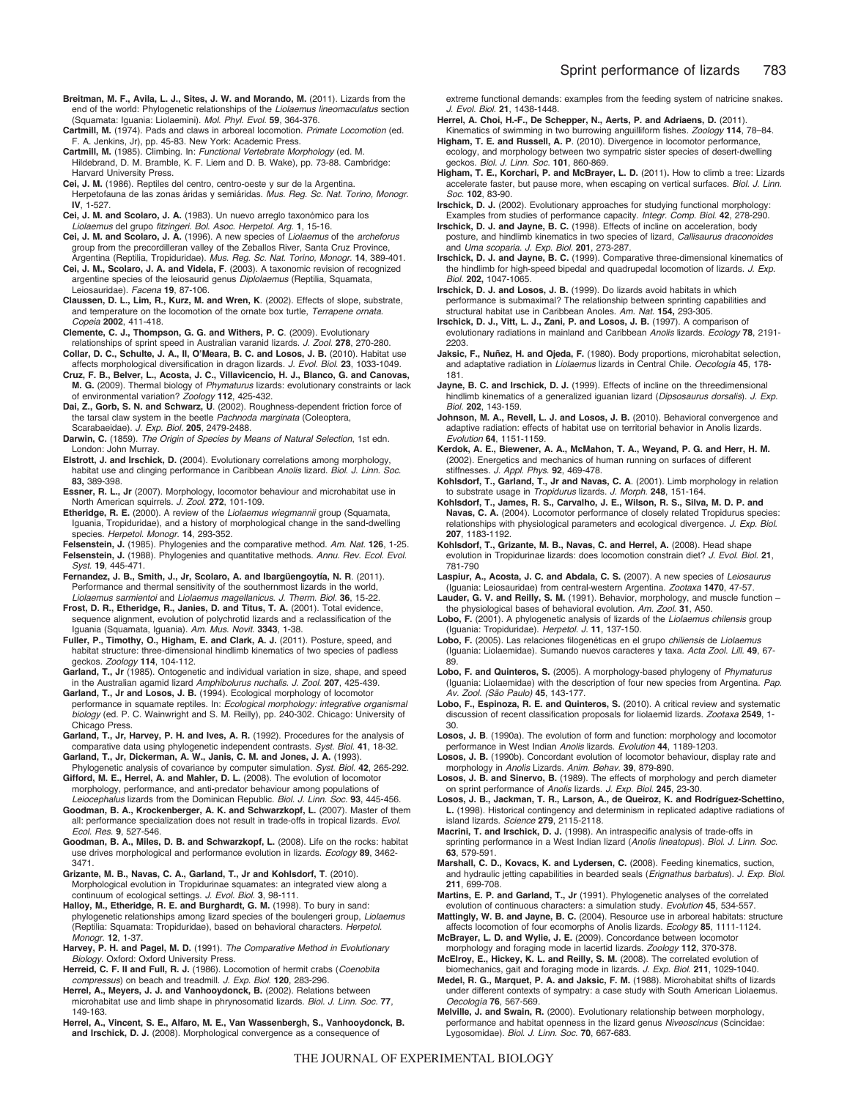- **Breitman, M. F., Avila, L. J., Sites, J. W. and Morando, M.** (2011). Lizards from the end of the world: Phylogenetic relationships of the *Liolaemus lineomaculatus* section (Squamata: Iguania: Liolaemini). *Mol. Phyl. Evol.* **59**, 364-376.
- **Cartmill, M.** (1974). Pads and claws in arboreal locomotion. *Primate Locomotion* (ed. F. A. Jenkins, Jr), pp. 45-83. New York: Academic Press.
- **Cartmill, M.** (1985). Climbing. In: *Functional Vertebrate Morphology* (ed. M. Hildebrand, D. M. Bramble, K. F. Liem and D. B. Wake), pp. 73-88. Cambridge: Harvard University Press.
- **Cei, J. M.** (1986). Reptiles del centro, centro-oeste y sur de la Argentina. Herpetofauna de las zonas áridas y semiáridas. *Mus. Reg. Sc. Nat. Torino, Monogr.* **IV**, 1-527.
- **Cei, J. M. and Scolaro, J. A.** (1983). Un nuevo arreglo taxonómico para los *Liolaemus* del grupo *fitzingeri*. *Bol. Asoc. Herpetol. Arg.* **1**, 15-16.
- **Cei, J. M. and Scolaro, J. A.** (1996). A new species of *Liolaemus* of the *archeforus* group from the precordilleran valley of the Zeballos River, Santa Cruz Province,
- Argentina (Reptilia, Tropiduridae). *Mus. Reg. Sc. Nat. Torino, Monogr.* **14**, 389-401. **Cei, J. M., Scolaro, J. A. and Videla, F**. (2003). A taxonomic revision of recognized argentine species of the leiosaurid genus *Diplolaemus* (Reptilia, Squamata, Leiosauridae). *Facena* **19**, 87-106.
- **Claussen, D. L., Lim, R., Kurz, M. and Wren, K**. (2002). Effects of slope, substrate, and temperature on the locomotion of the ornate box turtle, *Terrapene ornata*. *Copeia* **2002**, 411-418.
- **Clemente, C. J., Thompson, G. G. and Withers, P. C**. (2009). Evolutionary
- relationships of sprint speed in Australian varanid lizards. *J. Zool.* **278**, 270-280. **Collar, D. C., Schulte, J. A., II, O'Meara, B. C. and Losos, J. B.** (2010). Habitat use
- affects morphological diversification in dragon lizards. *J. Evol. Biol.* **23**, 1033-1049. **Cruz, F. B., Belver, L., Acosta, J. C., Villavicencio, H. J., Blanco, G. and Canovas, M. G.** (2009). Thermal biology of *Phymaturus* lizards: evolutionary constraints or lack of environmental variation? *Zoology* **112**, 425-432.
- **Dai, Z., Gorb, S. N. and Schwarz, U**. (2002). Roughness-dependent friction force of the tarsal claw system in the beetle *Pachnoda marginata* (Coleoptera, Scarabaeidae). *J. Exp. Biol.* **205**, 2479-2488.
- **Darwin, C.** (1859). *The Origin of Species by Means of Natural Selection*, 1st edn. London: John Murray.
- **Elstrott, J. and Irschick, D.** (2004). Evolutionary correlations among morphology, habitat use and clinging performance in Caribbean *Anolis* lizard. *Biol. J. Linn. Soc.* **83,** 389-398.
- **Essner, R. L., Jr** (2007). Morphology, locomotor behaviour and microhabitat use in North American squirrels. *J. Zool.* **272**, 101-109.
- **Etheridge, R. E.** (2000). A review of the *Liolaemus wiegmannii* group (Squamata, Iguania, Tropiduridae), and a history of morphological change in the sand-dwelling species. *Herpetol. Monogr.* **14**, 293-352.
- **Felsenstein, J.** (1985). Phylogenies and the comparative method. *Am. Nat.* **126**, 1-25. **Felsenstein, J.** (1988). Phylogenies and quantitative methods. *Annu. Rev. Ecol. Evol. Syst.* **19**, 445-471.
- **Fernandez, J. B., Smith, J., Jr, Scolaro, A. and Ibargüengoytía, N. R**. (2011). Performance and thermal sensitivity of the southernmost lizards in the world, *Liolaemus sarmientoi* and *Liolaemus magellanicus*. *J. Therm. Biol.* **36**, 15-22.
- **Frost, D. R., Etheridge, R., Janies, D. and Titus, T. A.** (2001). Total evidence, sequence alignment, evolution of polychrotid lizards and a reclassification of the Iguania (Squamata, Iguania). *Am. Mus. Novit*. **3343**, 1-38.
- **Fuller, P., Timothy, O., Higham, E. and Clark, A. J.** (2011). Posture, speed, and habitat structure: three-dimensional hindlimb kinematics of two species of padless geckos. *Zoology* **114**, 104-112.
- **Garland, T., Jr** (1985). Ontogenetic and individual variation in size, shape, and speed in the Australian agamid lizard *Amphibolurus nuchalis. J. Zool*. **207**, 425-439.
- **Garland, T., Jr and Losos, J. B.** (1994). Ecological morphology of locomotor performance in squamate reptiles. In: *Ecological morphology: integrative organismal biology* (ed. P. C. Wainwright and S. M. Reilly), pp. 240-302. Chicago: University of Chicago Press.
- **Garland, T., Jr, Harvey, P. H. and Ives, A. R.** (1992). Procedures for the analysis of comparative data using phylogenetic independent contrasts. *Syst. Biol.* **41**, 18-32.
- **Garland, T., Jr, Dickerman, A. W., Janis, C. M. and Jones, J. A.** (1993). Phylogenetic analysis of covariance by computer simulation. *Syst. Biol.* **42**, 265-292. **Gifford, M. E., Herrel, A. and Mahler, D. L.** (2008). The evolution of locomotor
- morphology, performance, and anti-predator behaviour among populations of *Leiocephalus* lizards from the Dominican Republic. *Biol. J. Linn. Soc.* **93**, 445-456.
- **Goodman, B. A., Krockenberger, A. K. and Schwarzkopf, L.** (2007). Master of them all: performance specialization does not result in trade-offs in tropical lizards. *Evol. Ecol. Res.* **9**, 527-546.
- **Goodman, B. A., Miles, D. B. and Schwarzkopf, L.** (2008). Life on the rocks: habitat use drives morphological and performance evolution in lizards. *Ecology* **89**, 3462- 3471.
- **Grizante, M. B., Navas, C. A., Garland, T., Jr and Kohlsdorf, T**. (2010). Morphological evolution in Tropidurinae squamates: an integrated view along a continuum of ecological settings. *J. Evol. Biol.* **3**, 98-111.
- **Halloy, M., Etheridge, R. E. and Burghardt, G. M.** (1998). To bury in sand: phylogenetic relationships among lizard species of the boulengeri group, *Liolaemus* (Reptilia: Squamata: Tropiduridae), based on behavioral characters. *Herpetol. Monogr.* **12**, 1-37.
- **Harvey, P. H. and Pagel, M. D.** (1991). *The Comparative Method in Evolutionary Biology*. Oxford: Oxford University Press.
- **Herreid, C. F. II and Full, R. J.** (1986). Locomotion of hermit crabs (*Coenobita compressus*) on beach and treadmill. *J. Exp. Biol.* **120**, 283-296.

**Herrel, A., Meyers, J. J. and Vanhooydonck, B.** (2002). Relations between microhabitat use and limb shape in phrynosomatid lizards. *Biol. J. Linn. Soc.* **77**, 149-163.

**Herrel, A., Vincent, S. E., Alfaro, M. E., Van Wassenbergh, S., Vanhooydonck, B. and Irschick, D. J.** (2008). Morphological convergence as a consequence of

extreme functional demands: examples from the feeding system of natricine snakes. *J. Evol. Biol.* **21**, 1438-1448.

- **Herrel, A. Choi, H.-F., De Schepper, N., Aerts, P. and Adriaens, D.** (2011). Kinematics of swimming in two burrowing anguilliform fishes*. Zoology* **114**, 78–84.
- **Higham, T. E. and Russell, A. P**. (2010). Divergence in locomotor performance, ecology, and morphology between two sympatric sister species of desert-dwelling geckos. *Biol. J. Linn. Soc.* **101**, 860-869.
- **Higham, T. E., Korchari, P. and McBrayer, L. D.** (2011)**.** How to climb a tree: Lizards accelerate faster, but pause more, when escaping on vertical surfaces. *Biol. J. Linn. Soc.* **102**, 83-90.
- **Irschick, D. J.** (2002). Evolutionary approaches for studying functional morphology: Examples from studies of performance capacity. *Integr. Comp. Biol.* **42**, 278-290.
- **Irschick, D. J. and Jayne, B. C.** (1998). Effects of incline on acceleration, body posture, and hindlimb kinematics in two species of lizard, *Callisaurus draconoides* and *Uma scoparia*. *J. Exp. Biol.* **201**, 273-287.
- **Irschick, D. J. and Jayne, B. C.** (1999). Comparative three-dimensional kinematics of the hindlimb for high-speed bipedal and quadrupedal locomotion of lizards. *J. Exp. Biol.* **202,** 1047-1065.
- **Irschick, D. J. and Losos, J. B.** (1999). Do lizards avoid habitats in which performance is submaximal? The relationship between sprinting capabilities and structural habitat use in Caribbean Anoles. *Am. Nat.* **154,** 293-305.
- **Irschick, D. J., Vitt, L. J., Zani, P. and Losos, J. B.** (1997). A comparison of evolutionary radiations in mainland and Caribbean *Anolis* lizards. *Ecology* **78**, 2191- 2203.
- **Jaksic, F., Nuñez, H. and Ojeda, F.** (1980). Body proportions, microhabitat selection, and adaptative radiation in *Liolaemus* lizards in Central Chile. *Oecología* **45**, 178- 181.
- **Jayne, B. C. and Irschick, D. J.** (1999). Effects of incline on the threedimensional hindlimb kinematics of a generalized iguanian lizard (*Dipsosaurus dorsalis*). *J. Exp. Biol.* **202**, 143-159.
- **Johnson, M. A., Revell, L. J. and Losos, J. B.** (2010). Behavioral convergence and adaptive radiation: effects of habitat use on territorial behavior in Anolis lizards. *Evolution* **64**, 1151-1159.
- **Kerdok, A. E., Biewener, A. A., McMahon, T. A., Weyand, P. G. and Herr, H. M.** (2002). Energetics and mechanics of human running on surfaces of different stiffnesses. *J. Appl. Phys.* **92**, 469-478.
- **Kohlsdorf, T., Garland, T., Jr and Navas, C. A**. (2001). Limb morphology in relation to substrate usage in *Tropidurus* lizards. *J. Morph.* **248**, 151-164.
- **Kohlsdorf, T., James, R. S., Carvalho, J. E., Wilson, R. S., Silva, M. D. P. and Navas, C. A.** (2004). Locomotor performance of closely related Tropidurus species: relationships with physiological parameters and ecological divergence. *J. Exp. Biol.* **207**, 1183-1192.
- **Kohlsdorf, T., Grizante, M. B., Navas, C. and Herrel, A.** (2008). Head shape evolution in Tropidurinae lizards: does locomotion constrain diet? *J. Evol. Biol.* **21**, 781-790
- **Laspiur, A., Acosta, J. C. and Abdala, C. S.** (2007). A new species of *Leiosaurus* (Iguania: Leiosauridae) from central-western Argentina. *Zootaxa* **1470**, 47-57.
- **Lauder, G. V. and Reilly, S. M.** (1991). Behavior, morphology, and muscle function the physiological bases of behavioral evolution. *Am. Zool.* **31**, A50.
- **Lobo, F.** (2001). A phylogenetic analysis of lizards of the *Liolaemus chilensis* group (Iguania: Tropiduridae). *Herpetol. J.* **11**, 137-150.
- **Lobo, F.** (2005). Las relaciones filogenéticas en el grupo *chiliensis* de *Liolaemus* (Iguania: Liolaemidae). Sumando nuevos caracteres y taxa. *Acta Zool. Lill.* **49**, 67- 89.
- **Lobo, F. and Quinteros, S.** (2005). A morphology-based phylogeny of *Phymaturus* (Iguania: Liolaemidae) with the description of four new species from Argentina. *Pap. Av. Zool. (São Paulo)* **45**, 143-177.
- **Lobo, F., Espinoza, R. E. and Quinteros, S.** (2010). A critical review and systematic discussion of recent classification proposals for liolaemid lizards. *Zootaxa* **2549**, 1-
- 30. **Losos, J. B**. (1990a). The evolution of form and function: morphology and locomotor performance in West Indian *Anolis* lizards. *Evolution* **44**, 1189-1203.
- **Losos, J. B.** (1990b). Concordant evolution of locomotor behaviour, display rate and morphology in *Anolis* Lizards. *Anim. Behav.* **39**, 879-890.
- **Losos, J. B. and Sinervo, B.** (1989). The effects of morphology and perch diameter on sprint performance of *Anolis* lizards. *J. Exp. Biol.* **245**, 23-30.
- **Losos, J. B., Jackman, T. R., Larson, A., de Queiroz, K. and Rodríguez-Schettino, L.** (1998). Historical contingency and determinism in replicated adaptive radiations of island lizards. *Science* **279**, 2115-2118.
- **Macrini, T. and Irschick, D. J.** (1998). An intraspecific analysis of trade-offs in sprinting performance in a West Indian lizard (*Anolis lineatopus*). *Biol. J. Linn. Soc.* **63**, 579-591.
- **Marshall, C. D., Kovacs, K. and Lydersen, C.** (2008). Feeding kinematics, suction, and hydraulic jetting capabilities in bearded seals (*Erignathus barbatus*). *J. Exp. Biol.* **211**, 699-708.
- **Martins, E. P. and Garland, T., Jr** (1991). Phylogenetic analyses of the correlated evolution of continuous characters: a simulation study. *Evolution* **45**, 534-557.
- **Mattingly, W. B. and Jayne, B. C.** (2004). Resource use in arboreal habitats: structure affects locomotion of four ecomorphs of Anolis lizards. *Ecology* **85**, 1111-1124.
- **McBrayer, L. D. and Wylie, J. E.** (2009). Concordance between locomotor morphology and foraging mode in lacertid lizards. *Zoology* **112**, 370-378. **McElroy, E., Hickey, K. L. and Reilly, S. M.** (2008). The correlated evolution of
- biomechanics, gait and foraging mode in lizards. *J. Exp. Biol*. **211**, 1029-1040.
- **Medel, R. G., Marquet, P. A. and Jaksic, F. M.** (1988). Microhabitat shifts of lizards under different contexts of sympatry: a case study with South American Liolaemus. *Oecología* **76**, 567-569.
- **Melville, J. and Swain, R.** (2000). Evolutionary relationship between morphology, performance and habitat openness in the lizard genus *Niveoscincus* (Scincidae: Lygosomidae). *Biol. J. Linn. Soc.* **70**, 667-683.